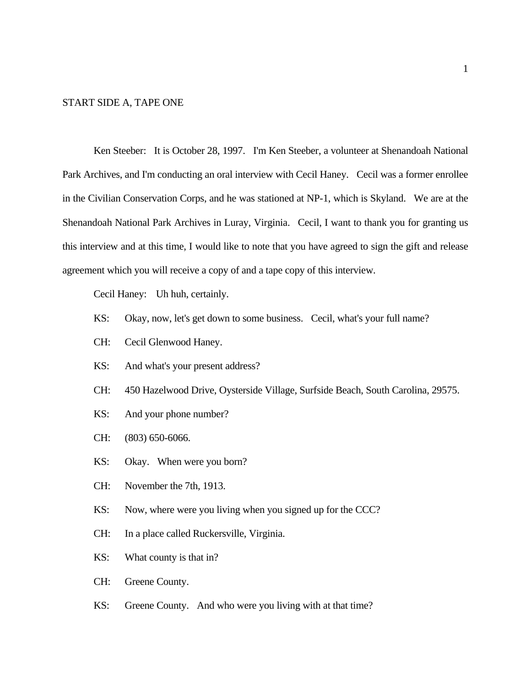#### START SIDE A, TAPE ONE

Ken Steeber: It is October 28, 1997. I'm Ken Steeber, a volunteer at Shenandoah National Park Archives, and I'm conducting an oral interview with Cecil Haney. Cecil was a former enrollee in the Civilian Conservation Corps, and he was stationed at NP-1, which is Skyland. We are at the Shenandoah National Park Archives in Luray, Virginia. Cecil, I want to thank you for granting us this interview and at this time, I would like to note that you have agreed to sign the gift and release agreement which you will receive a copy of and a tape copy of this interview.

Cecil Haney: Uh huh, certainly.

- KS: Okay, now, let's get down to some business. Cecil, what's your full name?
- CH: Cecil Glenwood Haney.
- KS: And what's your present address?
- CH: 450 Hazelwood Drive, Oysterside Village, Surfside Beach, South Carolina, 29575.
- KS: And your phone number?
- CH: (803) 650-6066.
- KS: Okay. When were you born?
- CH: November the 7th, 1913.
- KS: Now, where were you living when you signed up for the CCC?
- CH: In a place called Ruckersville, Virginia.
- KS: What county is that in?
- CH: Greene County.
- KS: Greene County. And who were you living with at that time?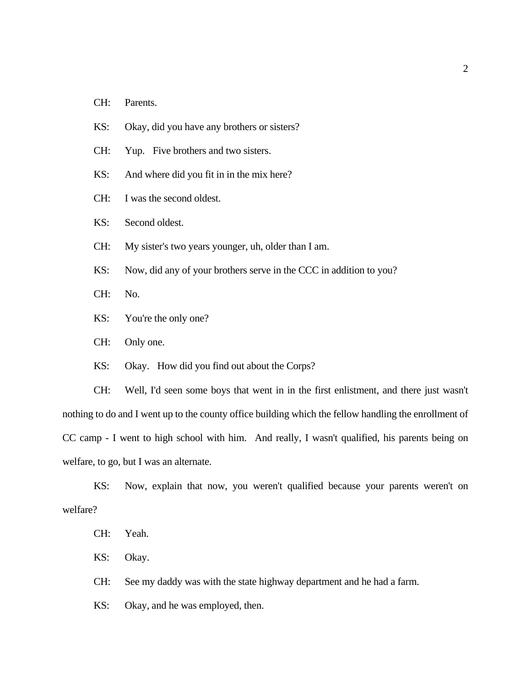- CH: Parents.
- KS: Okay, did you have any brothers or sisters?
- CH: Yup. Five brothers and two sisters.
- KS: And where did you fit in in the mix here?
- CH: I was the second oldest.
- KS: Second oldest.
- CH: My sister's two years younger, uh, older than I am.
- KS: Now, did any of your brothers serve in the CCC in addition to you?
- CH: No.
- KS: You're the only one?
- CH: Only one.
- KS: Okay. How did you find out about the Corps?

CH: Well, I'd seen some boys that went in in the first enlistment, and there just wasn't nothing to do and I went up to the county office building which the fellow handling the enrollment of CC camp - I went to high school with him. And really, I wasn't qualified, his parents being on welfare, to go, but I was an alternate.

KS: Now, explain that now, you weren't qualified because your parents weren't on welfare?

- CH: Yeah.
- KS: Okay.

CH: See my daddy was with the state highway department and he had a farm.

KS: Okay, and he was employed, then.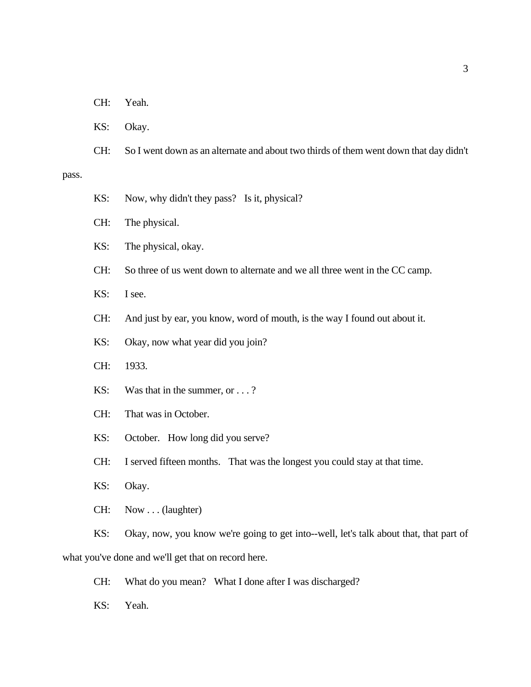- KS: Okay.
- CH: So I went down as an alternate and about two thirds of them went down that day didn't

#### pass.

| KS: |  |  | Now, why didn't they pass? Is it, physical? |  |  |  |
|-----|--|--|---------------------------------------------|--|--|--|
|-----|--|--|---------------------------------------------|--|--|--|

- CH: The physical.
- KS: The physical, okay.
- CH: So three of us went down to alternate and we all three went in the CC camp.
- KS: I see.
- CH: And just by ear, you know, word of mouth, is the way I found out about it.
- KS: Okay, now what year did you join?
- CH: 1933.
- KS: Was that in the summer, or . . . ?
- CH: That was in October.
- KS: October. How long did you serve?
- CH: I served fifteen months. That was the longest you could stay at that time.
- KS: Okay.
- CH: Now . . . (laughter)

KS: Okay, now, you know we're going to get into--well, let's talk about that, that part of what you've done and we'll get that on record here.

- CH: What do you mean? What I done after I was discharged?
- KS: Yeah.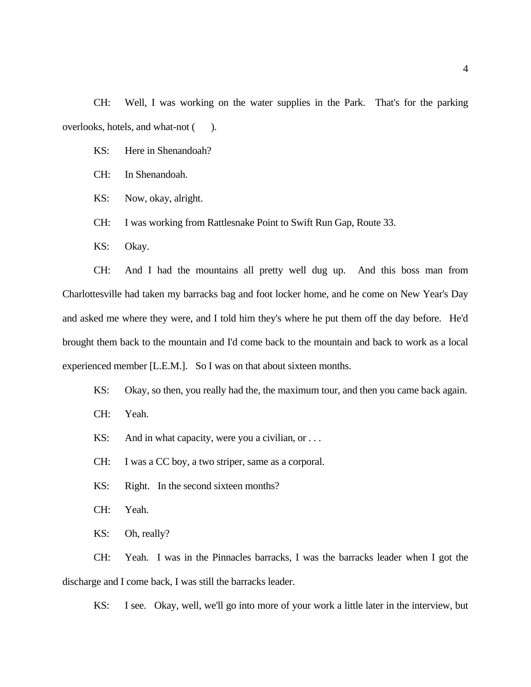CH: Well, I was working on the water supplies in the Park. That's for the parking overlooks, hotels, and what-not ( ).

KS: Here in Shenandoah?

- CH: In Shenandoah.
- KS: Now, okay, alright.
- CH: I was working from Rattlesnake Point to Swift Run Gap, Route 33.
- KS: Okay.

CH: And I had the mountains all pretty well dug up. And this boss man from Charlottesville had taken my barracks bag and foot locker home, and he come on New Year's Day and asked me where they were, and I told him they's where he put them off the day before. He'd brought them back to the mountain and I'd come back to the mountain and back to work as a local experienced member [L.E.M.]. So I was on that about sixteen months.

- KS: Okay, so then, you really had the, the maximum tour, and then you came back again.
- CH: Yeah.
- KS: And in what capacity, were you a civilian, or ...
- CH: I was a CC boy, a two striper, same as a corporal.
- KS: Right. In the second sixteen months?
- CH: Yeah.
- KS: Oh, really?

CH: Yeah. I was in the Pinnacles barracks, I was the barracks leader when I got the discharge and I come back, I was still the barracks leader.

KS: I see. Okay, well, we'll go into more of your work a little later in the interview, but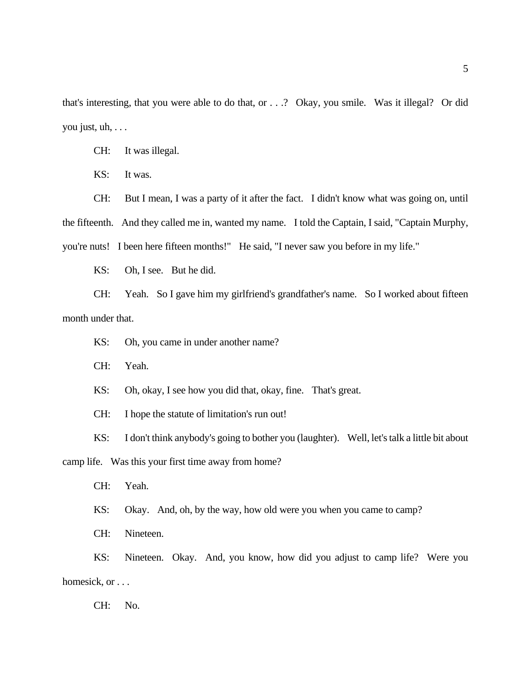that's interesting, that you were able to do that, or . . .? Okay, you smile. Was it illegal? Or did you just, uh, . . .

CH: It was illegal.

KS: It was.

CH: But I mean, I was a party of it after the fact. I didn't know what was going on, until the fifteenth. And they called me in, wanted my name. I told the Captain, I said, "Captain Murphy, you're nuts! I been here fifteen months!" He said, "I never saw you before in my life."

KS: Oh, I see. But he did.

CH: Yeah. So I gave him my girlfriend's grandfather's name. So I worked about fifteen month under that.

KS: Oh, you came in under another name?

CH: Yeah.

KS: Oh, okay, I see how you did that, okay, fine. That's great.

CH: I hope the statute of limitation's run out!

KS: I don't think anybody's going to bother you (laughter). Well, let's talk a little bit about

camp life. Was this your first time away from home?

CH: Yeah.

KS: Okay. And, oh, by the way, how old were you when you came to camp?

CH: Nineteen.

KS: Nineteen. Okay. And, you know, how did you adjust to camp life? Were you homesick, or . . .

CH: No.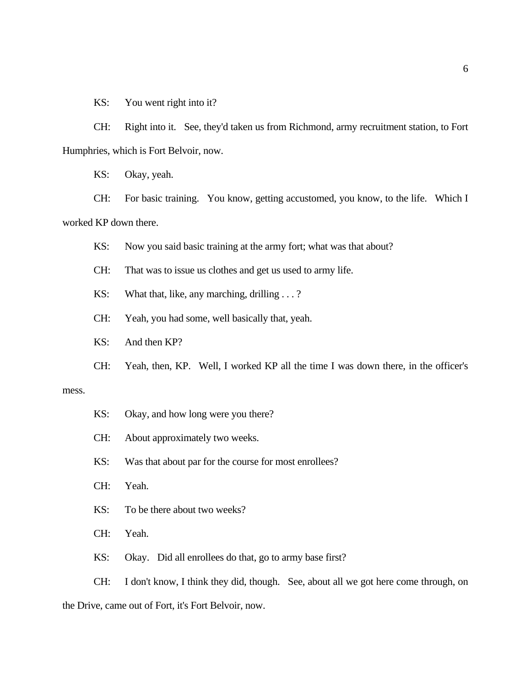KS: You went right into it?

CH: Right into it. See, they'd taken us from Richmond, army recruitment station, to Fort Humphries, which is Fort Belvoir, now.

KS: Okay, yeah.

CH: For basic training. You know, getting accustomed, you know, to the life. Which I worked KP down there.

KS: Now you said basic training at the army fort; what was that about?

CH: That was to issue us clothes and get us used to army life.

KS: What that, like, any marching, drilling . . . ?

CH: Yeah, you had some, well basically that, yeah.

KS: And then KP?

CH: Yeah, then, KP. Well, I worked KP all the time I was down there, in the officer's

#### mess.

KS: Okay, and how long were you there?

CH: About approximately two weeks.

KS: Was that about par for the course for most enrollees?

CH: Yeah.

KS: To be there about two weeks?

CH: Yeah.

KS: Okay. Did all enrollees do that, go to army base first?

CH: I don't know, I think they did, though. See, about all we got here come through, on

the Drive, came out of Fort, it's Fort Belvoir, now.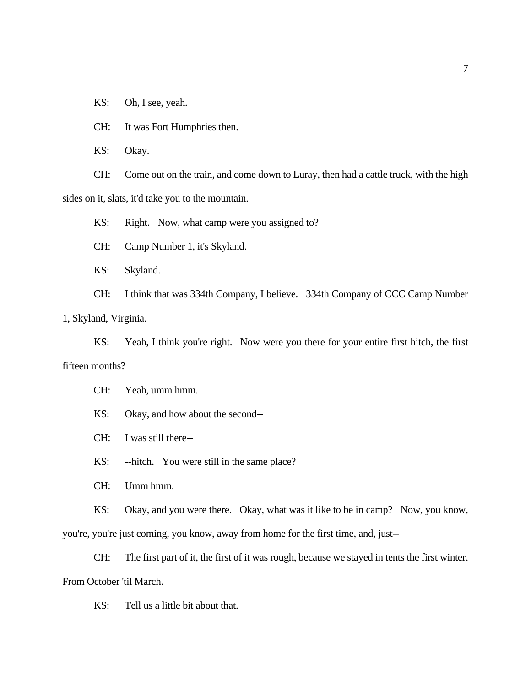KS: Oh, I see, yeah.

CH: It was Fort Humphries then.

KS: Okay.

CH: Come out on the train, and come down to Luray, then had a cattle truck, with the high sides on it, slats, it'd take you to the mountain.

KS: Right. Now, what camp were you assigned to?

CH: Camp Number 1, it's Skyland.

KS: Skyland.

CH: I think that was 334th Company, I believe. 334th Company of CCC Camp Number

1, Skyland, Virginia.

KS: Yeah, I think you're right. Now were you there for your entire first hitch, the first fifteen months?

CH: Yeah, umm hmm.

KS: Okay, and how about the second--

CH: I was still there--

KS: --hitch. You were still in the same place?

CH: Umm hmm.

KS: Okay, and you were there. Okay, what was it like to be in camp? Now, you know,

you're, you're just coming, you know, away from home for the first time, and, just--

CH: The first part of it, the first of it was rough, because we stayed in tents the first winter. From October 'til March.

KS: Tell us a little bit about that.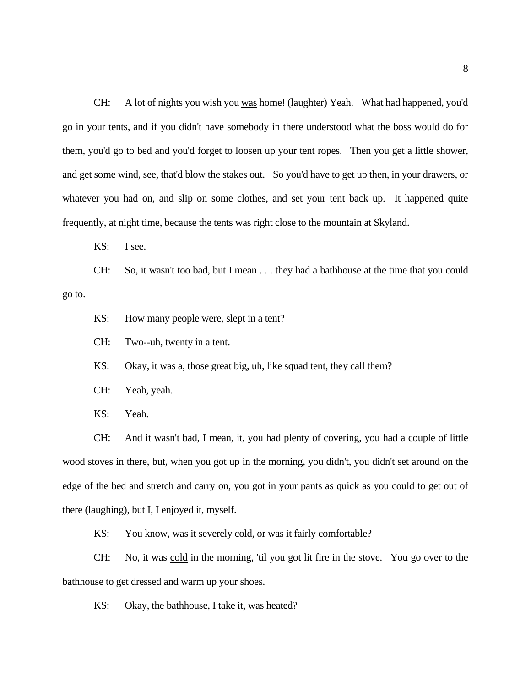CH: A lot of nights you wish you was home! (laughter) Yeah. What had happened, you'd go in your tents, and if you didn't have somebody in there understood what the boss would do for them, you'd go to bed and you'd forget to loosen up your tent ropes. Then you get a little shower, and get some wind, see, that'd blow the stakes out. So you'd have to get up then, in your drawers, or whatever you had on, and slip on some clothes, and set your tent back up. It happened quite frequently, at night time, because the tents was right close to the mountain at Skyland.

KS: I see.

CH: So, it wasn't too bad, but I mean . . . they had a bathhouse at the time that you could go to.

KS: How many people were, slept in a tent?

CH: Two--uh, twenty in a tent.

KS: Okay, it was a, those great big, uh, like squad tent, they call them?

- CH: Yeah, yeah.
- KS: Yeah.

CH: And it wasn't bad, I mean, it, you had plenty of covering, you had a couple of little wood stoves in there, but, when you got up in the morning, you didn't, you didn't set around on the edge of the bed and stretch and carry on, you got in your pants as quick as you could to get out of there (laughing), but I, I enjoyed it, myself.

KS: You know, was it severely cold, or was it fairly comfortable?

CH: No, it was cold in the morning, 'til you got lit fire in the stove. You go over to the bathhouse to get dressed and warm up your shoes.

KS: Okay, the bathhouse, I take it, was heated?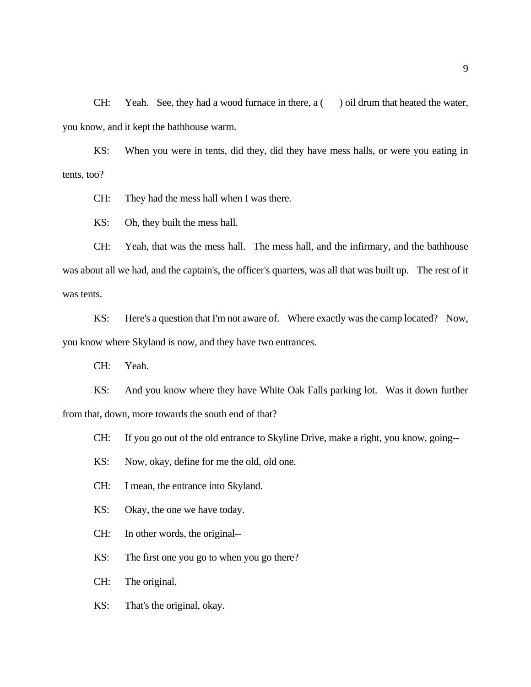CH: Yeah. See, they had a wood furnace in there,  $a$  ( ) oil drum that heated the water, you know, and it kept the bathhouse warm.

KS: When you were in tents, did they, did they have mess halls, or were you eating in tents, too?

CH: They had the mess hall when I was there.

KS: Oh, they built the mess hall.

CH: Yeah, that was the mess hall. The mess hall, and the infirmary, and the bathhouse was about all we had, and the captain's, the officer's quarters, was all that was built up. The rest of it was tents.

KS: Here's a question that I'm not aware of. Where exactly was the camp located? Now, you know where Skyland is now, and they have two entrances.

CH: Yeah.

KS: And you know where they have White Oak Falls parking lot. Was it down further from that, down, more towards the south end of that?

CH: If you go out of the old entrance to Skyline Drive, make a right, you know, going--

KS: Now, okay, define for me the old, old one.

CH: I mean, the entrance into Skyland.

KS: Okay, the one we have today.

CH: In other words, the original--

KS: The first one you go to when you go there?

CH: The original.

KS: That's the original, okay.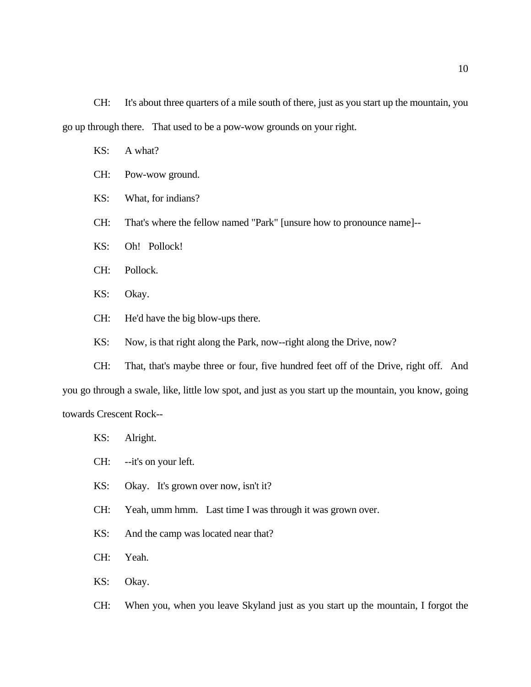CH: It's about three quarters of a mile south of there, just as you start up the mountain, you go up through there. That used to be a pow-wow grounds on your right.

- KS: A what?
- CH: Pow-wow ground.
- KS: What, for indians?
- CH: That's where the fellow named "Park" [unsure how to pronounce name]--
- KS: Oh! Pollock!
- CH: Pollock.
- KS: Okay.
- CH: He'd have the big blow-ups there.
- KS: Now, is that right along the Park, now--right along the Drive, now?

CH: That, that's maybe three or four, five hundred feet off of the Drive, right off. And you go through a swale, like, little low spot, and just as you start up the mountain, you know, going towards Crescent Rock--

- KS: Alright.
- CH: --it's on your left.
- KS: Okay. It's grown over now, isn't it?
- CH: Yeah, umm hmm. Last time I was through it was grown over.
- KS: And the camp was located near that?
- CH: Yeah.
- KS: Okay.
- CH: When you, when you leave Skyland just as you start up the mountain, I forgot the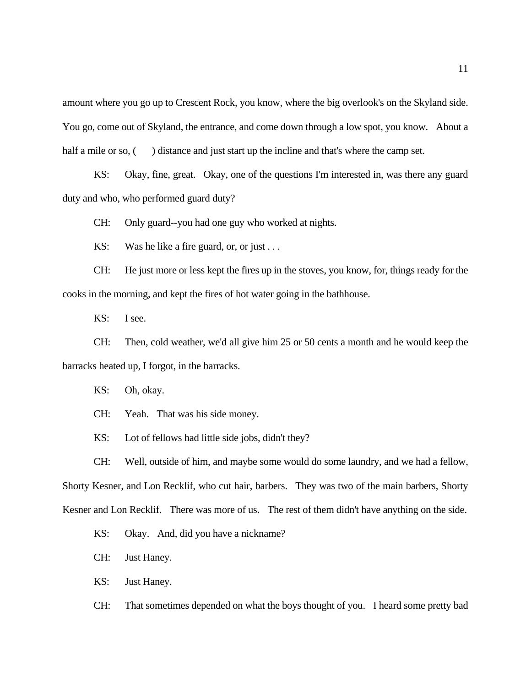amount where you go up to Crescent Rock, you know, where the big overlook's on the Skyland side. You go, come out of Skyland, the entrance, and come down through a low spot, you know. About a half a mile or so, () distance and just start up the incline and that's where the camp set.

KS: Okay, fine, great. Okay, one of the questions I'm interested in, was there any guard duty and who, who performed guard duty?

CH: Only guard--you had one guy who worked at nights.

KS: Was he like a fire guard, or, or just . . .

CH: He just more or less kept the fires up in the stoves, you know, for, things ready for the cooks in the morning, and kept the fires of hot water going in the bathhouse.

KS: I see.

CH: Then, cold weather, we'd all give him 25 or 50 cents a month and he would keep the barracks heated up, I forgot, in the barracks.

KS: Oh, okay.

CH: Yeah. That was his side money.

KS: Lot of fellows had little side jobs, didn't they?

CH: Well, outside of him, and maybe some would do some laundry, and we had a fellow, Shorty Kesner, and Lon Recklif, who cut hair, barbers. They was two of the main barbers, Shorty Kesner and Lon Recklif. There was more of us. The rest of them didn't have anything on the side.

KS: Okay. And, did you have a nickname?

CH: Just Haney.

KS: Just Haney.

CH: That sometimes depended on what the boys thought of you. I heard some pretty bad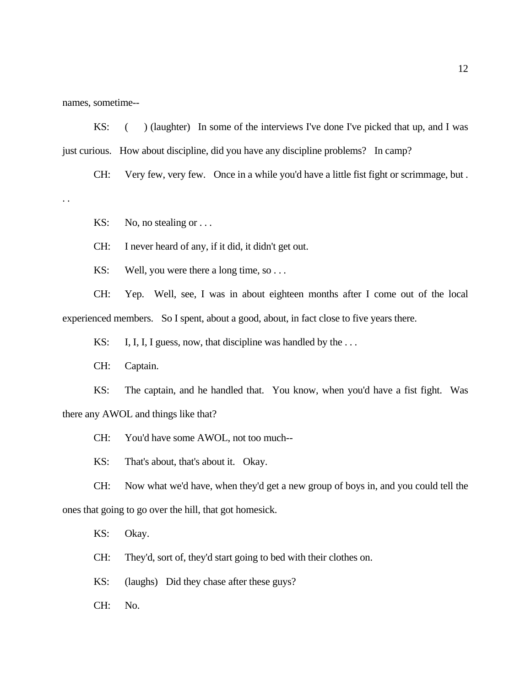names, sometime--

KS: () (laughter) In some of the interviews I've done I've picked that up, and I was just curious. How about discipline, did you have any discipline problems? In camp?

CH: Very few, very few. Once in a while you'd have a little fist fight or scrimmage, but .

. .

KS: No, no stealing or  $\dots$ 

CH: I never heard of any, if it did, it didn't get out.

KS: Well, you were there a long time, so . . .

CH: Yep. Well, see, I was in about eighteen months after I come out of the local experienced members. So I spent, about a good, about, in fact close to five years there.

KS: I, I, I, I guess, now, that discipline was handled by the ...

CH: Captain.

KS: The captain, and he handled that. You know, when you'd have a fist fight. Was there any AWOL and things like that?

CH: You'd have some AWOL, not too much--

KS: That's about, that's about it. Okay.

CH: Now what we'd have, when they'd get a new group of boys in, and you could tell the ones that going to go over the hill, that got homesick.

KS: Okay.

CH: They'd, sort of, they'd start going to bed with their clothes on.

KS: (laughs) Did they chase after these guys?

CH: No.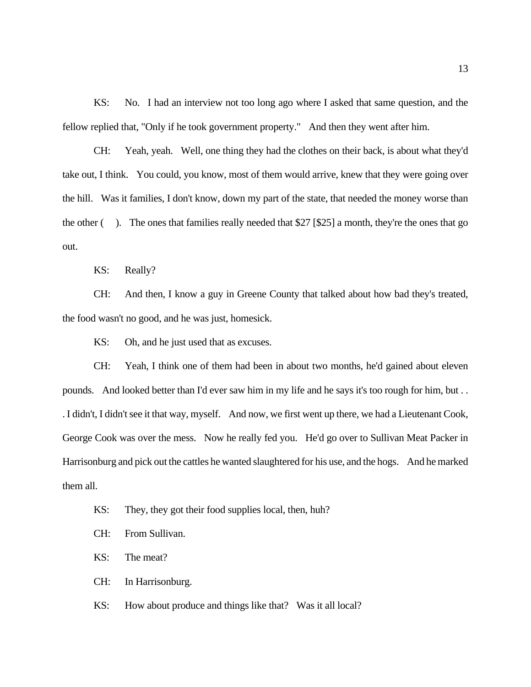KS: No. I had an interview not too long ago where I asked that same question, and the fellow replied that, "Only if he took government property." And then they went after him.

CH: Yeah, yeah. Well, one thing they had the clothes on their back, is about what they'd take out, I think. You could, you know, most of them would arrive, knew that they were going over the hill. Was it families, I don't know, down my part of the state, that needed the money worse than the other ( ). The ones that families really needed that \$27 [\$25] a month, they're the ones that go out.

KS: Really?

CH: And then, I know a guy in Greene County that talked about how bad they's treated, the food wasn't no good, and he was just, homesick.

KS: Oh, and he just used that as excuses.

CH: Yeah, I think one of them had been in about two months, he'd gained about eleven pounds. And looked better than I'd ever saw him in my life and he says it's too rough for him, but . . . I didn't, I didn't see it that way, myself. And now, we first went up there, we had a Lieutenant Cook, George Cook was over the mess. Now he really fed you. He'd go over to Sullivan Meat Packer in Harrisonburg and pick out the cattles he wanted slaughtered for his use, and the hogs. And he marked them all.

- KS: They, they got their food supplies local, then, huh?
- CH: From Sullivan.
- KS: The meat?
- CH: In Harrisonburg.
- KS: How about produce and things like that? Was it all local?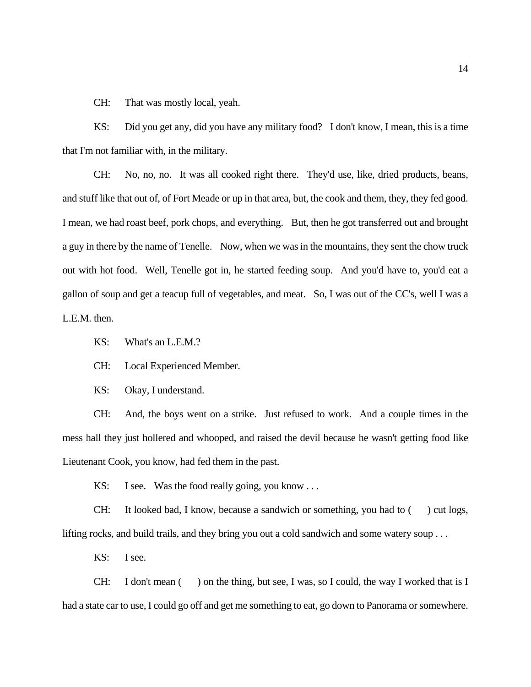CH: That was mostly local, yeah.

KS: Did you get any, did you have any military food? I don't know, I mean, this is a time that I'm not familiar with, in the military.

CH: No, no, no. It was all cooked right there. They'd use, like, dried products, beans, and stuff like that out of, of Fort Meade or up in that area, but, the cook and them, they, they fed good. I mean, we had roast beef, pork chops, and everything. But, then he got transferred out and brought a guy in there by the name of Tenelle. Now, when we was in the mountains, they sent the chow truck out with hot food. Well, Tenelle got in, he started feeding soup. And you'd have to, you'd eat a gallon of soup and get a teacup full of vegetables, and meat. So, I was out of the CC's, well I was a L.E.M. then.

KS: What's an L.E.M.?

CH: Local Experienced Member.

KS: Okay, I understand.

CH: And, the boys went on a strike. Just refused to work. And a couple times in the mess hall they just hollered and whooped, and raised the devil because he wasn't getting food like Lieutenant Cook, you know, had fed them in the past.

KS: I see. Was the food really going, you know ...

CH: It looked bad, I know, because a sandwich or something, you had to  $($ ) cut logs, lifting rocks, and build trails, and they bring you out a cold sandwich and some watery soup . . .

KS: I see.

CH: I don't mean  $($ ) on the thing, but see, I was, so I could, the way I worked that is I had a state car to use, I could go off and get me something to eat, go down to Panorama or somewhere.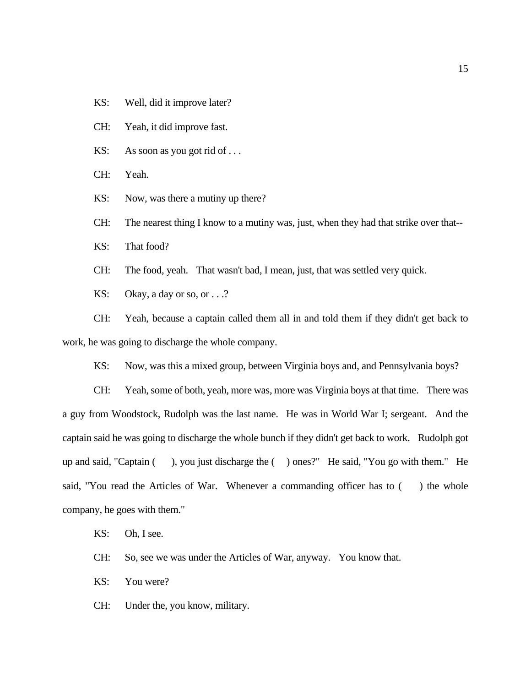KS: Well, did it improve later?

CH: Yeah, it did improve fast.

KS: As soon as you got rid of ...

CH: Yeah.

KS: Now, was there a mutiny up there?

CH: The nearest thing I know to a mutiny was, just, when they had that strike over that--

KS: That food?

CH: The food, yeah. That wasn't bad, I mean, just, that was settled very quick.

KS: Okay, a day or so, or . . .?

CH: Yeah, because a captain called them all in and told them if they didn't get back to work, he was going to discharge the whole company.

KS: Now, was this a mixed group, between Virginia boys and, and Pennsylvania boys?

CH: Yeah, some of both, yeah, more was, more was Virginia boys at that time. There was a guy from Woodstock, Rudolph was the last name. He was in World War I; sergeant. And the captain said he was going to discharge the whole bunch if they didn't get back to work. Rudolph got up and said, "Captain ( ), you just discharge the ( ) ones?" He said, "You go with them." He said, "You read the Articles of War. Whenever a commanding officer has to  $($ ) the whole company, he goes with them."

KS: Oh, I see.

CH: So, see we was under the Articles of War, anyway. You know that.

KS: You were?

CH: Under the, you know, military.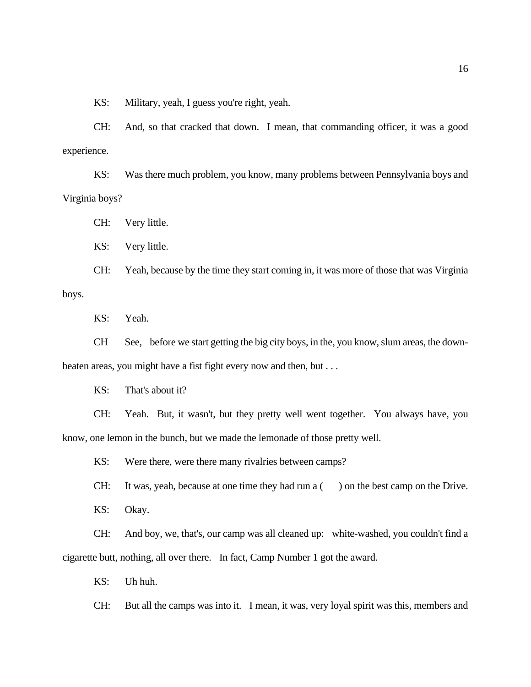KS: Military, yeah, I guess you're right, yeah.

CH: And, so that cracked that down. I mean, that commanding officer, it was a good experience.

KS: Was there much problem, you know, many problems between Pennsylvania boys and Virginia boys?

CH: Very little.

KS: Very little.

CH: Yeah, because by the time they start coming in, it was more of those that was Virginia boys.

KS: Yeah.

CH See, before we start getting the big city boys, in the, you know, slum areas, the downbeaten areas, you might have a fist fight every now and then, but . . .

KS: That's about it?

CH: Yeah. But, it wasn't, but they pretty well went together. You always have, you know, one lemon in the bunch, but we made the lemonade of those pretty well.

KS: Were there, were there many rivalries between camps?

CH: It was, yeah, because at one time they had run  $a$  ( ) on the best camp on the Drive.

KS: Okay.

CH: And boy, we, that's, our camp was all cleaned up: white-washed, you couldn't find a cigarette butt, nothing, all over there. In fact, Camp Number 1 got the award.

KS: Uh huh.

CH: But all the camps was into it. I mean, it was, very loyal spirit was this, members and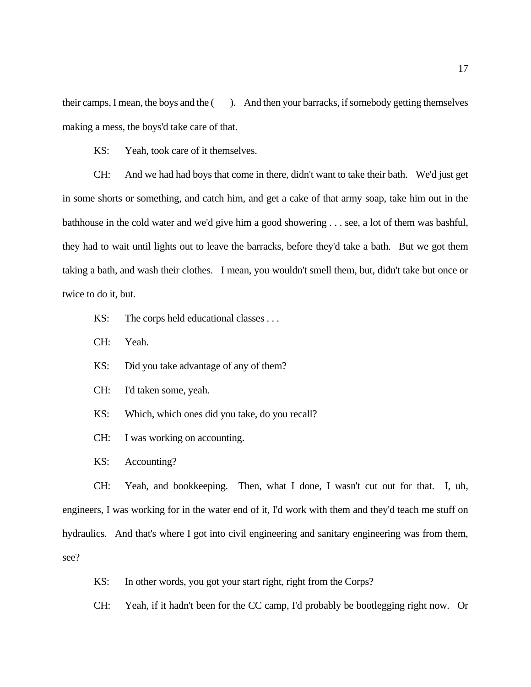their camps, I mean, the boys and the ( ). And then your barracks, if somebody getting themselves making a mess, the boys'd take care of that.

KS: Yeah, took care of it themselves.

CH: And we had had boys that come in there, didn't want to take their bath. We'd just get in some shorts or something, and catch him, and get a cake of that army soap, take him out in the bathhouse in the cold water and we'd give him a good showering . . . see, a lot of them was bashful, they had to wait until lights out to leave the barracks, before they'd take a bath. But we got them taking a bath, and wash their clothes. I mean, you wouldn't smell them, but, didn't take but once or twice to do it, but.

- KS: The corps held educational classes . . .
- CH: Yeah.
- KS: Did you take advantage of any of them?
- CH: I'd taken some, yeah.
- KS: Which, which ones did you take, do you recall?
- CH: I was working on accounting.
- KS: Accounting?

CH: Yeah, and bookkeeping. Then, what I done, I wasn't cut out for that. I, uh, engineers, I was working for in the water end of it, I'd work with them and they'd teach me stuff on hydraulics. And that's where I got into civil engineering and sanitary engineering was from them, see?

KS: In other words, you got your start right, right from the Corps?

CH: Yeah, if it hadn't been for the CC camp, I'd probably be bootlegging right now. Or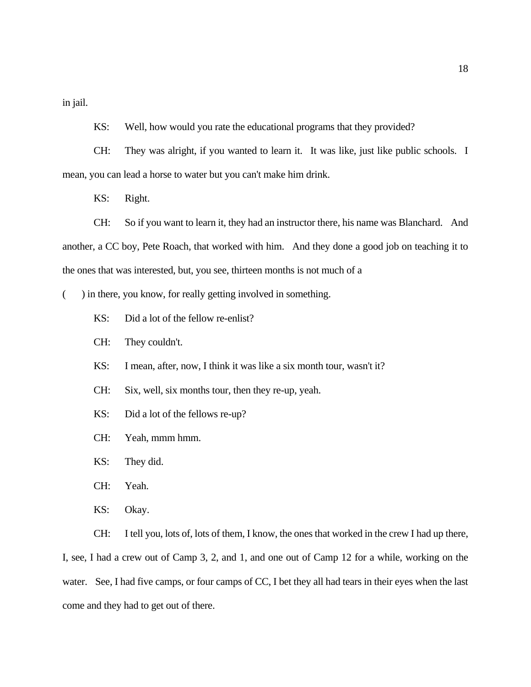in jail.

KS: Well, how would you rate the educational programs that they provided?

CH: They was alright, if you wanted to learn it. It was like, just like public schools. I mean, you can lead a horse to water but you can't make him drink.

KS: Right.

CH: So if you want to learn it, they had an instructor there, his name was Blanchard. And another, a CC boy, Pete Roach, that worked with him. And they done a good job on teaching it to the ones that was interested, but, you see, thirteen months is not much of a

() in there, you know, for really getting involved in something.

- KS: Did a lot of the fellow re-enlist?
- CH: They couldn't.
- KS: I mean, after, now, I think it was like a six month tour, wasn't it?
- CH: Six, well, six months tour, then they re-up, yeah.
- KS: Did a lot of the fellows re-up?
- CH: Yeah, mmm hmm.
- KS: They did.
- CH: Yeah.
- KS: Okay.

CH: I tell you, lots of, lots of them, I know, the ones that worked in the crew I had up there, I, see, I had a crew out of Camp 3, 2, and 1, and one out of Camp 12 for a while, working on the water. See, I had five camps, or four camps of CC, I bet they all had tears in their eyes when the last come and they had to get out of there.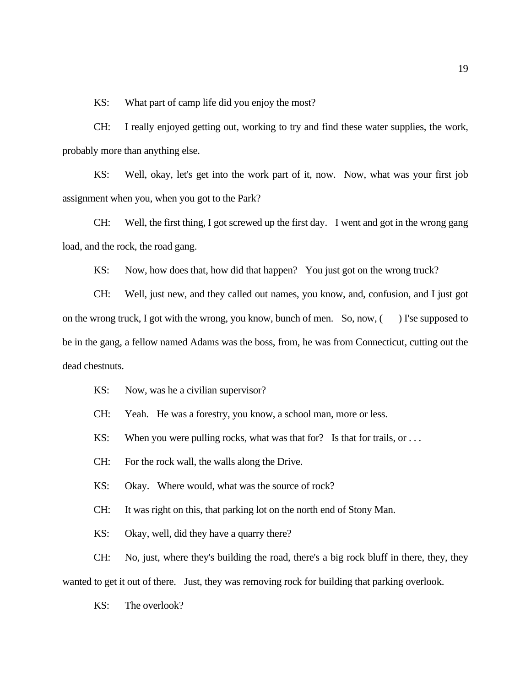KS: What part of camp life did you enjoy the most?

CH: I really enjoyed getting out, working to try and find these water supplies, the work, probably more than anything else.

KS: Well, okay, let's get into the work part of it, now. Now, what was your first job assignment when you, when you got to the Park?

CH: Well, the first thing, I got screwed up the first day. I went and got in the wrong gang load, and the rock, the road gang.

KS: Now, how does that, how did that happen? You just got on the wrong truck?

CH: Well, just new, and they called out names, you know, and, confusion, and I just got on the wrong truck, I got with the wrong, you know, bunch of men. So, now, ( ) I'se supposed to be in the gang, a fellow named Adams was the boss, from, he was from Connecticut, cutting out the dead chestnuts.

KS: Now, was he a civilian supervisor?

CH: Yeah. He was a forestry, you know, a school man, more or less.

KS: When you were pulling rocks, what was that for? Is that for trails, or ...

CH: For the rock wall, the walls along the Drive.

KS: Okay. Where would, what was the source of rock?

CH: It was right on this, that parking lot on the north end of Stony Man.

KS: Okay, well, did they have a quarry there?

CH: No, just, where they's building the road, there's a big rock bluff in there, they, they wanted to get it out of there. Just, they was removing rock for building that parking overlook.

KS: The overlook?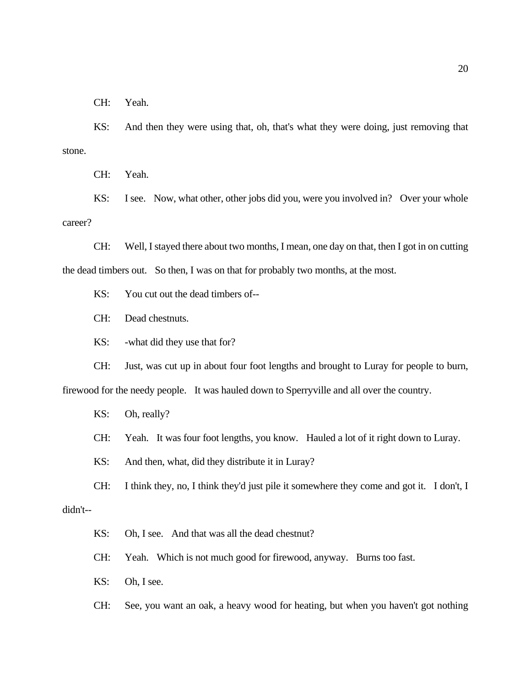CH: Yeah.

KS: And then they were using that, oh, that's what they were doing, just removing that stone.

CH: Yeah.

KS: I see. Now, what other, other jobs did you, were you involved in? Over your whole career?

CH: Well, I stayed there about two months, I mean, one day on that, then I got in on cutting the dead timbers out. So then, I was on that for probably two months, at the most.

KS: You cut out the dead timbers of--

CH: Dead chestnuts.

KS: -what did they use that for?

CH: Just, was cut up in about four foot lengths and brought to Luray for people to burn,

firewood for the needy people. It was hauled down to Sperryville and all over the country.

KS: Oh, really?

CH: Yeah. It was four foot lengths, you know. Hauled a lot of it right down to Luray.

KS: And then, what, did they distribute it in Luray?

CH: I think they, no, I think they'd just pile it somewhere they come and got it. I don't, I

#### didn't--

KS: Oh, I see. And that was all the dead chestnut?

CH: Yeah. Which is not much good for firewood, anyway. Burns too fast.

KS: Oh, I see.

CH: See, you want an oak, a heavy wood for heating, but when you haven't got nothing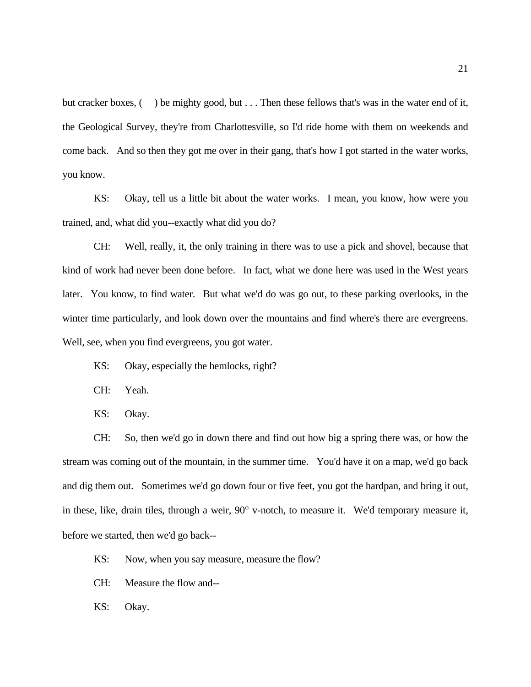but cracker boxes, () be mighty good, but . . . Then these fellows that's was in the water end of it, the Geological Survey, they're from Charlottesville, so I'd ride home with them on weekends and come back. And so then they got me over in their gang, that's how I got started in the water works, you know.

KS: Okay, tell us a little bit about the water works. I mean, you know, how were you trained, and, what did you--exactly what did you do?

CH: Well, really, it, the only training in there was to use a pick and shovel, because that kind of work had never been done before. In fact, what we done here was used in the West years later. You know, to find water. But what we'd do was go out, to these parking overlooks, in the winter time particularly, and look down over the mountains and find where's there are evergreens. Well, see, when you find evergreens, you got water.

- KS: Okay, especially the hemlocks, right?
- CH: Yeah.
- KS: Okay.

CH: So, then we'd go in down there and find out how big a spring there was, or how the stream was coming out of the mountain, in the summer time. You'd have it on a map, we'd go back and dig them out. Sometimes we'd go down four or five feet, you got the hardpan, and bring it out, in these, like, drain tiles, through a weir, 90° v-notch, to measure it. We'd temporary measure it, before we started, then we'd go back--

- KS: Now, when you say measure, measure the flow?
- CH: Measure the flow and--
- KS: Okay.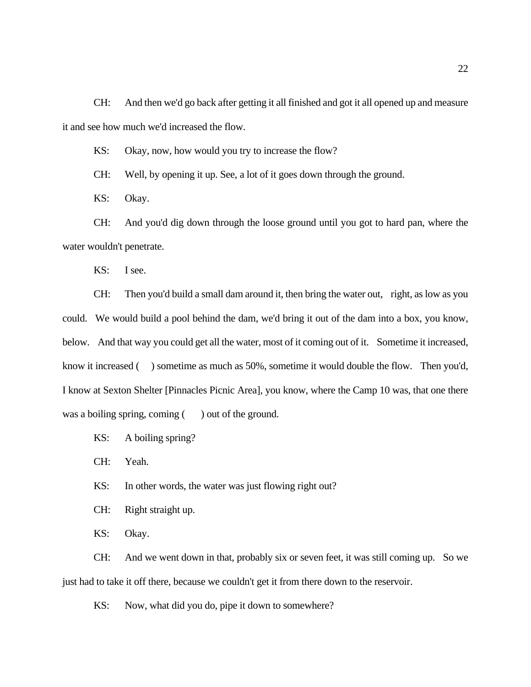CH: And then we'd go back after getting it all finished and got it all opened up and measure it and see how much we'd increased the flow.

KS: Okay, now, how would you try to increase the flow?

CH: Well, by opening it up. See, a lot of it goes down through the ground.

KS: Okay.

CH: And you'd dig down through the loose ground until you got to hard pan, where the water wouldn't penetrate.

KS: I see.

CH: Then you'd build a small dam around it, then bring the water out, right, as low as you could. We would build a pool behind the dam, we'd bring it out of the dam into a box, you know, below. And that way you could get all the water, most of it coming out of it. Sometime it increased, know it increased () sometime as much as 50%, sometime it would double the flow. Then you'd, I know at Sexton Shelter [Pinnacles Picnic Area], you know, where the Camp 10 was, that one there was a boiling spring, coming () out of the ground.

KS: A boiling spring?

CH: Yeah.

KS: In other words, the water was just flowing right out?

CH: Right straight up.

KS: Okay.

CH: And we went down in that, probably six or seven feet, it was still coming up. So we just had to take it off there, because we couldn't get it from there down to the reservoir.

KS: Now, what did you do, pipe it down to somewhere?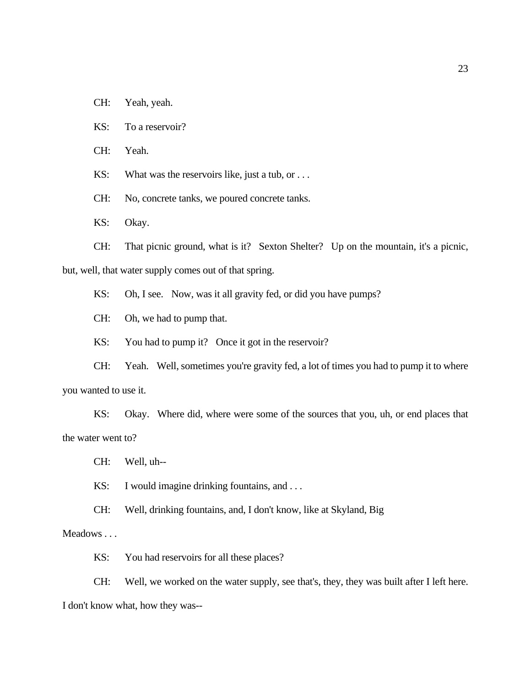- CH: Yeah, yeah.
- KS: To a reservoir?
- CH: Yeah.

KS: What was the reservoirs like, just a tub, or ...

CH: No, concrete tanks, we poured concrete tanks.

KS: Okay.

CH: That picnic ground, what is it? Sexton Shelter? Up on the mountain, it's a picnic, but, well, that water supply comes out of that spring.

KS: Oh, I see. Now, was it all gravity fed, or did you have pumps?

CH: Oh, we had to pump that.

KS: You had to pump it? Once it got in the reservoir?

CH: Yeah. Well, sometimes you're gravity fed, a lot of times you had to pump it to where you wanted to use it.

KS: Okay. Where did, where were some of the sources that you, uh, or end places that the water went to?

CH: Well, uh--

KS: I would imagine drinking fountains, and ...

CH: Well, drinking fountains, and, I don't know, like at Skyland, Big

# Meadows . . .

KS: You had reservoirs for all these places?

CH: Well, we worked on the water supply, see that's, they, they was built after I left here.

I don't know what, how they was--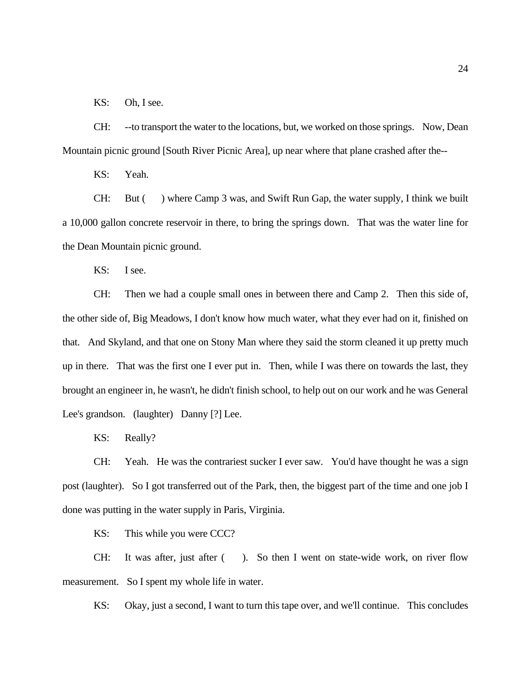KS: Oh, I see.

CH: --to transport the water to the locations, but, we worked on those springs. Now, Dean Mountain picnic ground [South River Picnic Area], up near where that plane crashed after the--

KS: Yeah.

CH: But ( ) where Camp 3 was, and Swift Run Gap, the water supply, I think we built a 10,000 gallon concrete reservoir in there, to bring the springs down. That was the water line for the Dean Mountain picnic ground.

KS: I see.

CH: Then we had a couple small ones in between there and Camp 2. Then this side of, the other side of, Big Meadows, I don't know how much water, what they ever had on it, finished on that. And Skyland, and that one on Stony Man where they said the storm cleaned it up pretty much up in there. That was the first one I ever put in. Then, while I was there on towards the last, they brought an engineer in, he wasn't, he didn't finish school, to help out on our work and he was General Lee's grandson. (laughter) Danny [?] Lee.

KS: Really?

CH: Yeah. He was the contrariest sucker I ever saw. You'd have thought he was a sign post (laughter). So I got transferred out of the Park, then, the biggest part of the time and one job I done was putting in the water supply in Paris, Virginia.

KS: This while you were CCC?

CH: It was after, just after ( ). So then I went on state-wide work, on river flow measurement. So I spent my whole life in water.

KS: Okay, just a second, I want to turn this tape over, and we'll continue. This concludes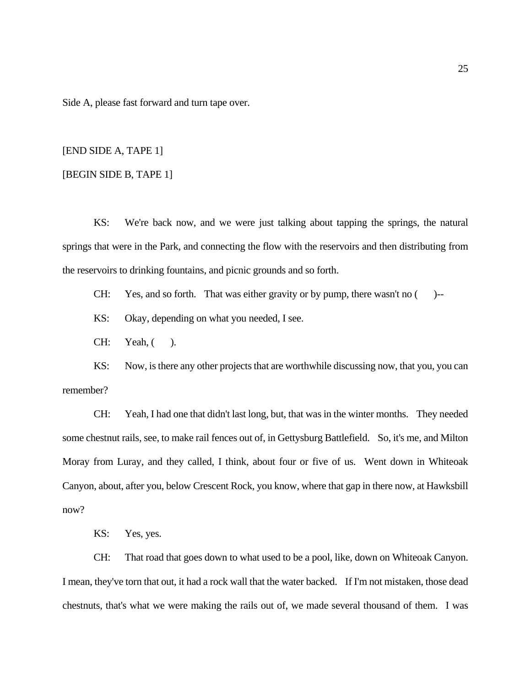Side A, please fast forward and turn tape over.

# [END SIDE A, TAPE 1]

# [BEGIN SIDE B, TAPE 1]

KS: We're back now, and we were just talking about tapping the springs, the natural springs that were in the Park, and connecting the flow with the reservoirs and then distributing from the reservoirs to drinking fountains, and picnic grounds and so forth.

CH: Yes, and so forth. That was either gravity or by pump, there wasn't no ( )--

KS: Okay, depending on what you needed, I see.

 $CH:$  Yeah,  $($ ).

KS: Now, is there any other projects that are worthwhile discussing now, that you, you can remember?

CH: Yeah, I had one that didn't last long, but, that was in the winter months. They needed some chestnut rails, see, to make rail fences out of, in Gettysburg Battlefield. So, it's me, and Milton Moray from Luray, and they called, I think, about four or five of us. Went down in Whiteoak Canyon, about, after you, below Crescent Rock, you know, where that gap in there now, at Hawksbill now?

KS: Yes, yes.

CH: That road that goes down to what used to be a pool, like, down on Whiteoak Canyon. I mean, they've torn that out, it had a rock wall that the water backed. If I'm not mistaken, those dead chestnuts, that's what we were making the rails out of, we made several thousand of them. I was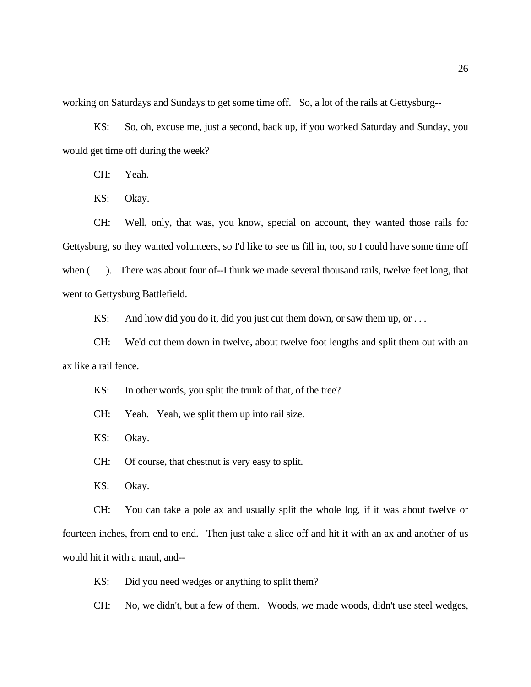working on Saturdays and Sundays to get some time off. So, a lot of the rails at Gettysburg--

KS: So, oh, excuse me, just a second, back up, if you worked Saturday and Sunday, you would get time off during the week?

CH: Yeah.

KS: Okay.

CH: Well, only, that was, you know, special on account, they wanted those rails for Gettysburg, so they wanted volunteers, so I'd like to see us fill in, too, so I could have some time off when (). There was about four of--I think we made several thousand rails, twelve feet long, that went to Gettysburg Battlefield.

KS: And how did you do it, did you just cut them down, or saw them up, or  $\dots$ 

CH: We'd cut them down in twelve, about twelve foot lengths and split them out with an ax like a rail fence.

KS: In other words, you split the trunk of that, of the tree?

CH: Yeah. Yeah, we split them up into rail size.

KS: Okay.

CH: Of course, that chestnut is very easy to split.

KS: Okay.

CH: You can take a pole ax and usually split the whole log, if it was about twelve or fourteen inches, from end to end. Then just take a slice off and hit it with an ax and another of us would hit it with a maul, and--

KS: Did you need wedges or anything to split them?

CH: No, we didn't, but a few of them. Woods, we made woods, didn't use steel wedges,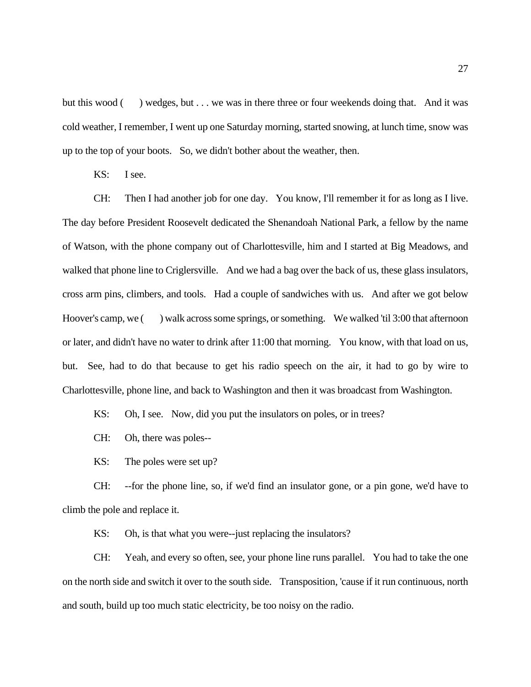but this wood () wedges, but . . . we was in there three or four weekends doing that. And it was cold weather, I remember, I went up one Saturday morning, started snowing, at lunch time, snow was up to the top of your boots. So, we didn't bother about the weather, then.

KS: I see.

CH: Then I had another job for one day. You know, I'll remember it for as long as I live. The day before President Roosevelt dedicated the Shenandoah National Park, a fellow by the name of Watson, with the phone company out of Charlottesville, him and I started at Big Meadows, and walked that phone line to Criglersville. And we had a bag over the back of us, these glass insulators, cross arm pins, climbers, and tools. Had a couple of sandwiches with us. And after we got below Hoover's camp, we ( ) walk across some springs, or something. We walked 'til 3:00 that afternoon or later, and didn't have no water to drink after 11:00 that morning. You know, with that load on us, but. See, had to do that because to get his radio speech on the air, it had to go by wire to Charlottesville, phone line, and back to Washington and then it was broadcast from Washington.

KS: Oh, I see. Now, did you put the insulators on poles, or in trees?

CH: Oh, there was poles--

KS: The poles were set up?

CH: --for the phone line, so, if we'd find an insulator gone, or a pin gone, we'd have to climb the pole and replace it.

KS: Oh, is that what you were--just replacing the insulators?

CH: Yeah, and every so often, see, your phone line runs parallel. You had to take the one on the north side and switch it over to the south side. Transposition, 'cause if it run continuous, north and south, build up too much static electricity, be too noisy on the radio.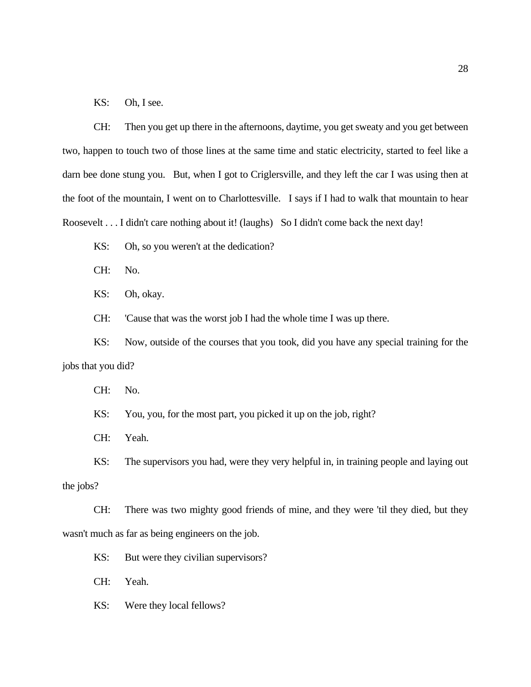KS: Oh, I see.

CH: Then you get up there in the afternoons, daytime, you get sweaty and you get between two, happen to touch two of those lines at the same time and static electricity, started to feel like a darn bee done stung you. But, when I got to Criglersville, and they left the car I was using then at the foot of the mountain, I went on to Charlottesville. I says if I had to walk that mountain to hear Roosevelt . . . I didn't care nothing about it! (laughs) So I didn't come back the next day!

KS: Oh, so you weren't at the dedication?

CH: No.

KS: Oh, okay.

CH: 'Cause that was the worst job I had the whole time I was up there.

KS: Now, outside of the courses that you took, did you have any special training for the jobs that you did?

CH: No.

KS: You, you, for the most part, you picked it up on the job, right?

CH: Yeah.

KS: The supervisors you had, were they very helpful in, in training people and laying out the jobs?

CH: There was two mighty good friends of mine, and they were 'til they died, but they wasn't much as far as being engineers on the job.

KS: But were they civilian supervisors?

CH: Yeah.

KS: Were they local fellows?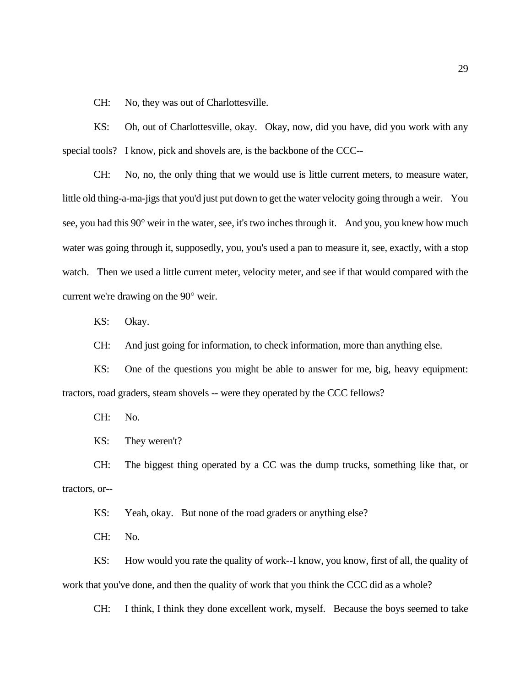CH: No, they was out of Charlottesville.

KS: Oh, out of Charlottesville, okay. Okay, now, did you have, did you work with any special tools? I know, pick and shovels are, is the backbone of the CCC--

CH: No, no, the only thing that we would use is little current meters, to measure water, little old thing-a-ma-jigs that you'd just put down to get the water velocity going through a weir. You see, you had this 90° weir in the water, see, it's two inches through it. And you, you knew how much water was going through it, supposedly, you, you's used a pan to measure it, see, exactly, with a stop watch. Then we used a little current meter, velocity meter, and see if that would compared with the current we're drawing on the 90° weir.

KS: Okay.

CH: And just going for information, to check information, more than anything else.

KS: One of the questions you might be able to answer for me, big, heavy equipment: tractors, road graders, steam shovels -- were they operated by the CCC fellows?

CH: No.

KS: They weren't?

CH: The biggest thing operated by a CC was the dump trucks, something like that, or tractors, or--

KS: Yeah, okay. But none of the road graders or anything else?

CH: No.

KS: How would you rate the quality of work--I know, you know, first of all, the quality of work that you've done, and then the quality of work that you think the CCC did as a whole?

CH: I think, I think they done excellent work, myself. Because the boys seemed to take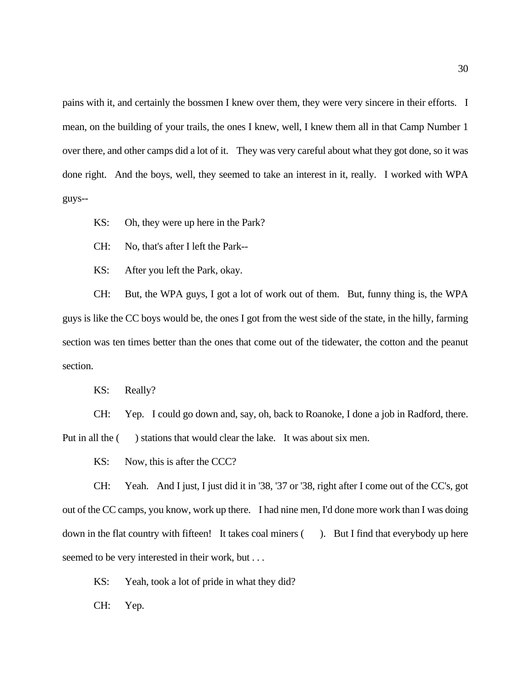pains with it, and certainly the bossmen I knew over them, they were very sincere in their efforts. I mean, on the building of your trails, the ones I knew, well, I knew them all in that Camp Number 1 over there, and other camps did a lot of it. They was very careful about what they got done, so it was done right. And the boys, well, they seemed to take an interest in it, really. I worked with WPA guys--

KS: Oh, they were up here in the Park?

CH: No, that's after I left the Park--

KS: After you left the Park, okay.

CH: But, the WPA guys, I got a lot of work out of them. But, funny thing is, the WPA guys is like the CC boys would be, the ones I got from the west side of the state, in the hilly, farming section was ten times better than the ones that come out of the tidewater, the cotton and the peanut section.

KS: Really?

CH: Yep. I could go down and, say, oh, back to Roanoke, I done a job in Radford, there. Put in all the () stations that would clear the lake. It was about six men.

KS: Now, this is after the CCC?

CH: Yeah. And I just, I just did it in '38, '37 or '38, right after I come out of the CC's, got out of the CC camps, you know, work up there. I had nine men, I'd done more work than I was doing down in the flat country with fifteen! It takes coal miners (). But I find that everybody up here seemed to be very interested in their work, but . . .

KS: Yeah, took a lot of pride in what they did?

CH: Yep.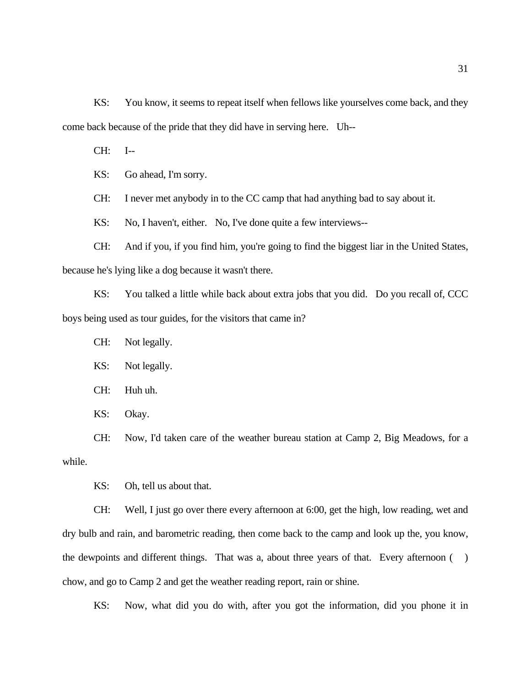KS: You know, it seems to repeat itself when fellows like yourselves come back, and they come back because of the pride that they did have in serving here. Uh--

CH: I--

KS: Go ahead, I'm sorry.

CH: I never met anybody in to the CC camp that had anything bad to say about it.

KS: No, I haven't, either. No, I've done quite a few interviews--

CH: And if you, if you find him, you're going to find the biggest liar in the United States, because he's lying like a dog because it wasn't there.

KS: You talked a little while back about extra jobs that you did. Do you recall of, CCC boys being used as tour guides, for the visitors that came in?

CH: Not legally.

KS: Not legally.

CH: Huh uh.

KS: Okay.

CH: Now, I'd taken care of the weather bureau station at Camp 2, Big Meadows, for a while.

KS: Oh, tell us about that.

CH: Well, I just go over there every afternoon at 6:00, get the high, low reading, wet and dry bulb and rain, and barometric reading, then come back to the camp and look up the, you know, the dewpoints and different things. That was a, about three years of that. Every afternoon ( ) chow, and go to Camp 2 and get the weather reading report, rain or shine.

KS: Now, what did you do with, after you got the information, did you phone it in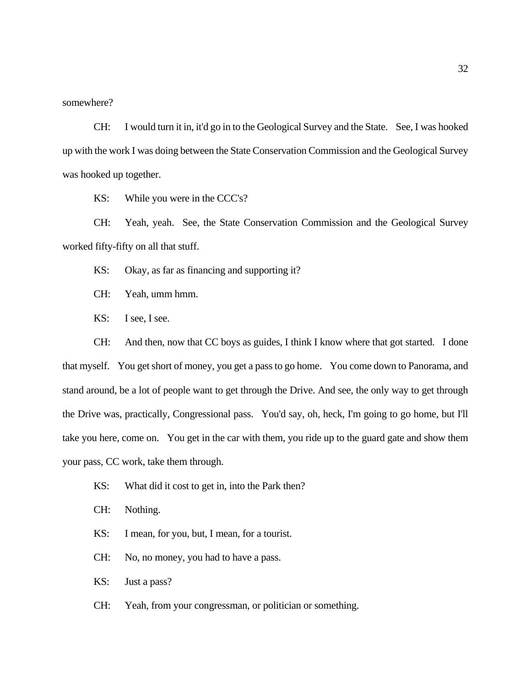somewhere?

CH: I would turn it in, it'd go in to the Geological Survey and the State. See, I was hooked up with the work I was doing between the State Conservation Commission and the Geological Survey was hooked up together.

KS: While you were in the CCC's?

CH: Yeah, yeah. See, the State Conservation Commission and the Geological Survey worked fifty-fifty on all that stuff.

KS: Okay, as far as financing and supporting it?

CH: Yeah, umm hmm.

KS: I see, I see.

CH: And then, now that CC boys as guides, I think I know where that got started. I done that myself. You get short of money, you get a pass to go home. You come down to Panorama, and stand around, be a lot of people want to get through the Drive. And see, the only way to get through the Drive was, practically, Congressional pass. You'd say, oh, heck, I'm going to go home, but I'll take you here, come on. You get in the car with them, you ride up to the guard gate and show them your pass, CC work, take them through.

- KS: What did it cost to get in, into the Park then?
- CH: Nothing.
- KS: I mean, for you, but, I mean, for a tourist.
- CH: No, no money, you had to have a pass.
- KS: Just a pass?
- CH: Yeah, from your congressman, or politician or something.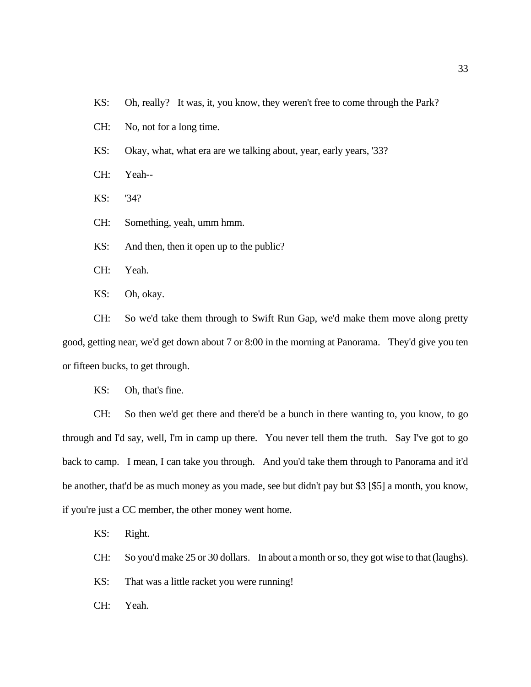KS: Oh, really? It was, it, you know, they weren't free to come through the Park?

CH: No, not for a long time.

KS: Okay, what, what era are we talking about, year, early years, '33?

CH: Yeah--

KS: '34?

CH: Something, yeah, umm hmm.

KS: And then, then it open up to the public?

CH: Yeah.

KS: Oh, okay.

CH: So we'd take them through to Swift Run Gap, we'd make them move along pretty good, getting near, we'd get down about 7 or 8:00 in the morning at Panorama. They'd give you ten or fifteen bucks, to get through.

KS: Oh, that's fine.

CH: So then we'd get there and there'd be a bunch in there wanting to, you know, to go through and I'd say, well, I'm in camp up there. You never tell them the truth. Say I've got to go back to camp. I mean, I can take you through. And you'd take them through to Panorama and it'd be another, that'd be as much money as you made, see but didn't pay but \$3 [\$5] a month, you know, if you're just a CC member, the other money went home.

KS: Right.

CH: So you'd make 25 or 30 dollars. In about a month or so, they got wise to that (laughs).

KS: That was a little racket you were running!

CH: Yeah.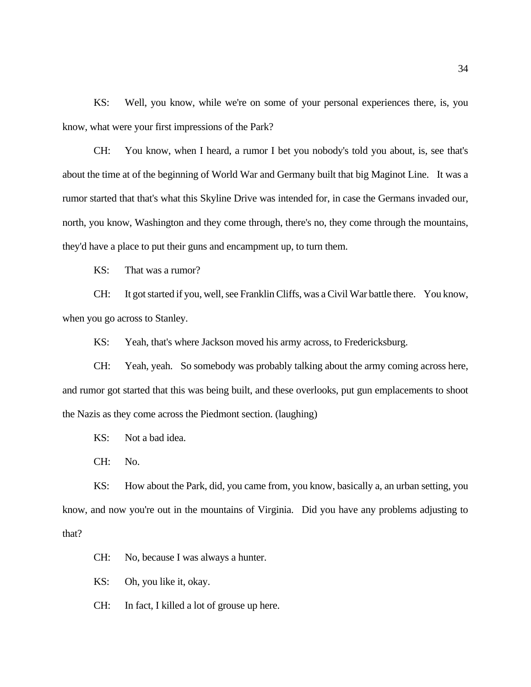KS: Well, you know, while we're on some of your personal experiences there, is, you know, what were your first impressions of the Park?

CH: You know, when I heard, a rumor I bet you nobody's told you about, is, see that's about the time at of the beginning of World War and Germany built that big Maginot Line. It was a rumor started that that's what this Skyline Drive was intended for, in case the Germans invaded our, north, you know, Washington and they come through, there's no, they come through the mountains, they'd have a place to put their guns and encampment up, to turn them.

KS: That was a rumor?

CH: It got started if you, well, see Franklin Cliffs, was a Civil War battle there. You know, when you go across to Stanley.

KS: Yeah, that's where Jackson moved his army across, to Fredericksburg.

CH: Yeah, yeah. So somebody was probably talking about the army coming across here, and rumor got started that this was being built, and these overlooks, put gun emplacements to shoot the Nazis as they come across the Piedmont section. (laughing)

KS: Not a bad idea.

CH: No.

KS: How about the Park, did, you came from, you know, basically a, an urban setting, you know, and now you're out in the mountains of Virginia. Did you have any problems adjusting to that?

CH: No, because I was always a hunter.

KS: Oh, you like it, okay.

CH: In fact, I killed a lot of grouse up here.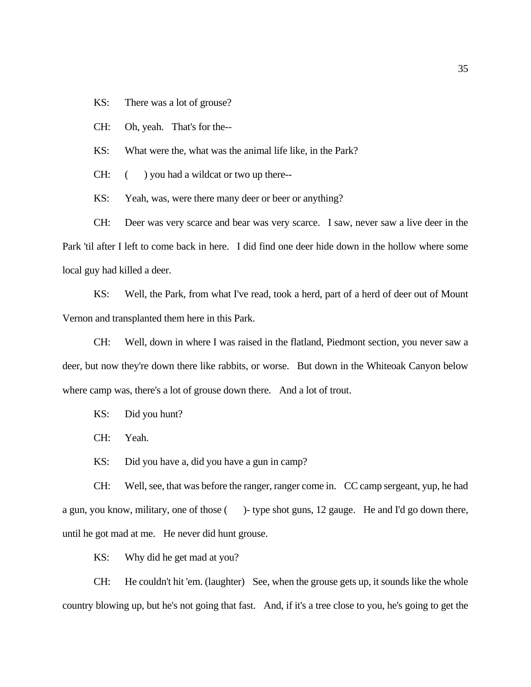KS: There was a lot of grouse?

CH: Oh, yeah. That's for the--

KS: What were the, what was the animal life like, in the Park?

CH:  $($  ) you had a wildcat or two up there--

KS: Yeah, was, were there many deer or beer or anything?

CH: Deer was very scarce and bear was very scarce. I saw, never saw a live deer in the Park 'til after I left to come back in here. I did find one deer hide down in the hollow where some local guy had killed a deer.

KS: Well, the Park, from what I've read, took a herd, part of a herd of deer out of Mount Vernon and transplanted them here in this Park.

CH: Well, down in where I was raised in the flatland, Piedmont section, you never saw a deer, but now they're down there like rabbits, or worse. But down in the Whiteoak Canyon below where camp was, there's a lot of grouse down there. And a lot of trout.

KS: Did you hunt?

CH: Yeah.

KS: Did you have a, did you have a gun in camp?

CH: Well, see, that was before the ranger, ranger come in. CC camp sergeant, yup, he had a gun, you know, military, one of those ( )- type shot guns, 12 gauge. He and I'd go down there, until he got mad at me. He never did hunt grouse.

KS: Why did he get mad at you?

CH: He couldn't hit 'em. (laughter) See, when the grouse gets up, it sounds like the whole country blowing up, but he's not going that fast. And, if it's a tree close to you, he's going to get the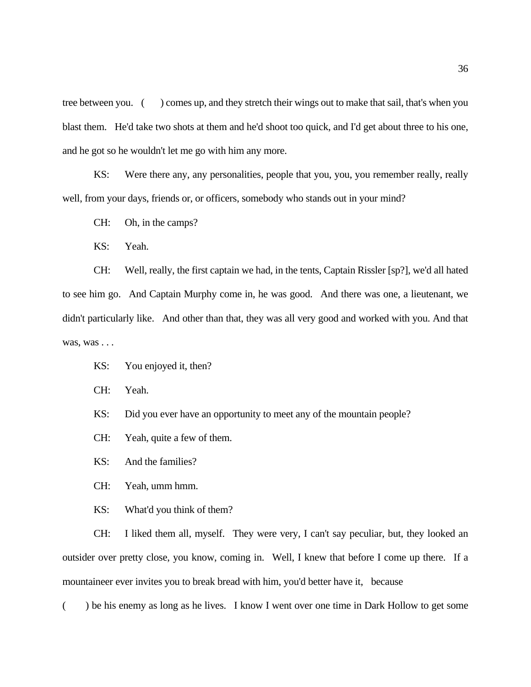tree between you. ( ) comes up, and they stretch their wings out to make that sail, that's when you blast them. He'd take two shots at them and he'd shoot too quick, and I'd get about three to his one, and he got so he wouldn't let me go with him any more.

KS: Were there any, any personalities, people that you, you, you remember really, really well, from your days, friends or, or officers, somebody who stands out in your mind?

CH: Oh, in the camps?

KS: Yeah.

CH: Well, really, the first captain we had, in the tents, Captain Rissler [sp?], we'd all hated to see him go. And Captain Murphy come in, he was good. And there was one, a lieutenant, we didn't particularly like. And other than that, they was all very good and worked with you. And that was, was . . .

KS: You enjoyed it, then?

CH: Yeah.

KS: Did you ever have an opportunity to meet any of the mountain people?

CH: Yeah, quite a few of them.

KS: And the families?

CH: Yeah, umm hmm.

KS: What'd you think of them?

CH: I liked them all, myself. They were very, I can't say peculiar, but, they looked an outsider over pretty close, you know, coming in. Well, I knew that before I come up there. If a mountaineer ever invites you to break bread with him, you'd better have it, because

( ) be his enemy as long as he lives. I know I went over one time in Dark Hollow to get some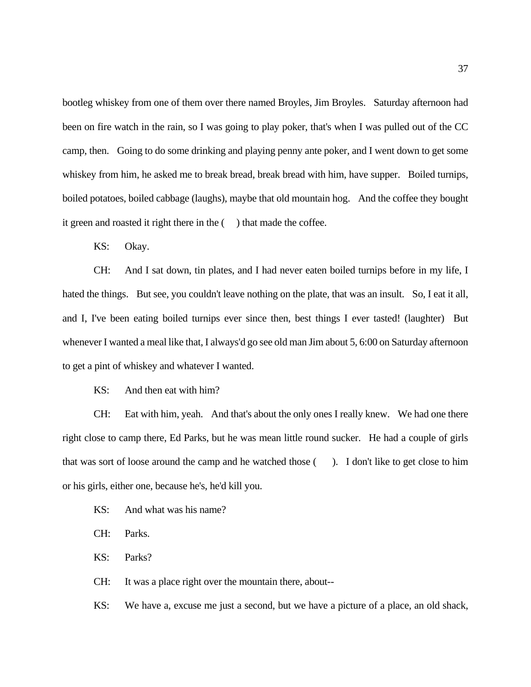bootleg whiskey from one of them over there named Broyles, Jim Broyles. Saturday afternoon had been on fire watch in the rain, so I was going to play poker, that's when I was pulled out of the CC camp, then. Going to do some drinking and playing penny ante poker, and I went down to get some whiskey from him, he asked me to break bread, break bread with him, have supper. Boiled turnips, boiled potatoes, boiled cabbage (laughs), maybe that old mountain hog. And the coffee they bought it green and roasted it right there in the ( ) that made the coffee.

KS: Okay.

CH: And I sat down, tin plates, and I had never eaten boiled turnips before in my life, I hated the things. But see, you couldn't leave nothing on the plate, that was an insult. So, I eat it all, and I, I've been eating boiled turnips ever since then, best things I ever tasted! (laughter) But whenever I wanted a meal like that, I always'd go see old man Jim about 5, 6:00 on Saturday afternoon to get a pint of whiskey and whatever I wanted.

KS: And then eat with him?

CH: Eat with him, yeah. And that's about the only ones I really knew. We had one there right close to camp there, Ed Parks, but he was mean little round sucker. He had a couple of girls that was sort of loose around the camp and he watched those ( ). I don't like to get close to him or his girls, either one, because he's, he'd kill you.

KS: And what was his name?

CH: Parks.

KS: Parks?

CH: It was a place right over the mountain there, about--

KS: We have a, excuse me just a second, but we have a picture of a place, an old shack,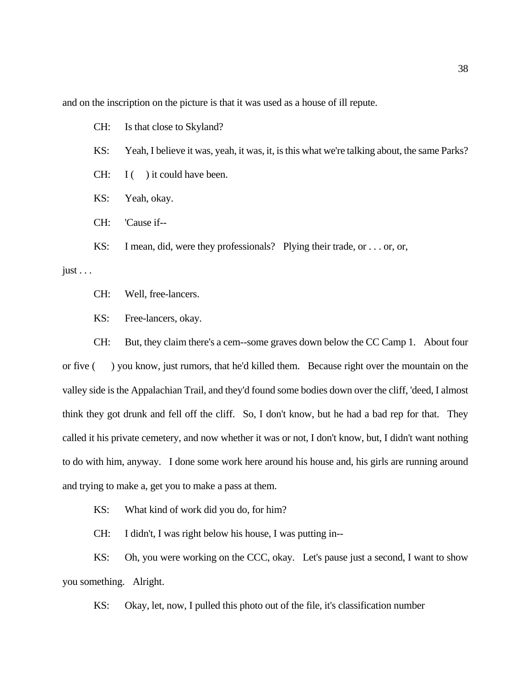and on the inscription on the picture is that it was used as a house of ill repute.

CH: Is that close to Skyland?

- KS: Yeah, I believe it was, yeah, it was, it, is this what we're talking about, the same Parks?
- $CH: I( ) it could have been.$
- KS: Yeah, okay.
- CH: 'Cause if--

KS: I mean, did, were they professionals? Plying their trade, or . . . or, or,

just  $\ldots$ 

CH: Well, free-lancers.

KS: Free-lancers, okay.

CH: But, they claim there's a cem--some graves down below the CC Camp 1. About four or five ( ) you know, just rumors, that he'd killed them. Because right over the mountain on the valley side is the Appalachian Trail, and they'd found some bodies down over the cliff, 'deed, I almost think they got drunk and fell off the cliff. So, I don't know, but he had a bad rep for that. They called it his private cemetery, and now whether it was or not, I don't know, but, I didn't want nothing to do with him, anyway. I done some work here around his house and, his girls are running around and trying to make a, get you to make a pass at them.

KS: What kind of work did you do, for him?

CH: I didn't, I was right below his house, I was putting in--

KS: Oh, you were working on the CCC, okay. Let's pause just a second, I want to show you something. Alright.

KS: Okay, let, now, I pulled this photo out of the file, it's classification number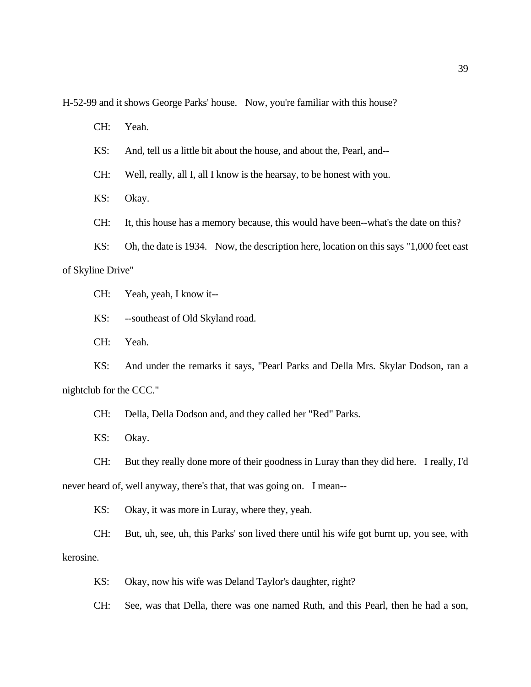H-52-99 and it shows George Parks' house. Now, you're familiar with this house?

CH: Yeah.

KS: And, tell us a little bit about the house, and about the, Pearl, and--

CH: Well, really, all I, all I know is the hearsay, to be honest with you.

KS: Okay.

CH: It, this house has a memory because, this would have been--what's the date on this?

KS: Oh, the date is 1934. Now, the description here, location on this says "1,000 feet east of Skyline Drive"

CH: Yeah, yeah, I know it--

KS: --southeast of Old Skyland road.

CH: Yeah.

KS: And under the remarks it says, "Pearl Parks and Della Mrs. Skylar Dodson, ran a nightclub for the CCC."

CH: Della, Della Dodson and, and they called her "Red" Parks.

KS: Okay.

CH: But they really done more of their goodness in Luray than they did here. I really, I'd never heard of, well anyway, there's that, that was going on. I mean--

KS: Okay, it was more in Luray, where they, yeah.

CH: But, uh, see, uh, this Parks' son lived there until his wife got burnt up, you see, with kerosine.

KS: Okay, now his wife was Deland Taylor's daughter, right?

CH: See, was that Della, there was one named Ruth, and this Pearl, then he had a son,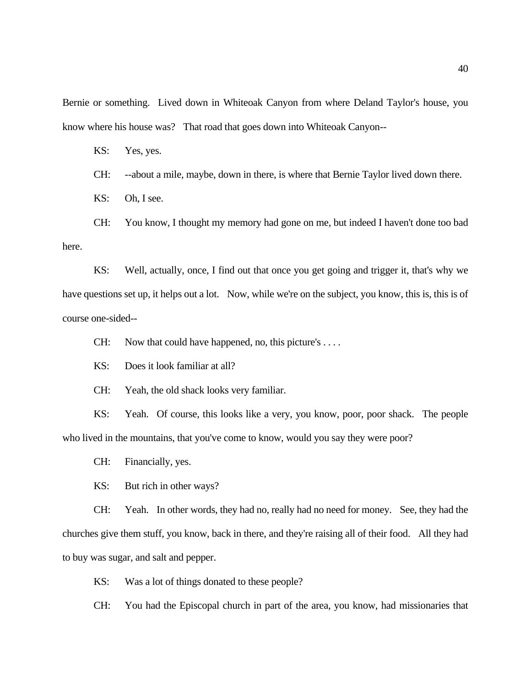Bernie or something. Lived down in Whiteoak Canyon from where Deland Taylor's house, you know where his house was? That road that goes down into Whiteoak Canyon--

KS: Yes, yes.

CH: --about a mile, maybe, down in there, is where that Bernie Taylor lived down there.

KS: Oh, I see.

CH: You know, I thought my memory had gone on me, but indeed I haven't done too bad here.

KS: Well, actually, once, I find out that once you get going and trigger it, that's why we have questions set up, it helps out a lot. Now, while we're on the subject, you know, this is, this is of course one-sided--

CH: Now that could have happened, no, this picture's . . . .

KS: Does it look familiar at all?

CH: Yeah, the old shack looks very familiar.

KS: Yeah. Of course, this looks like a very, you know, poor, poor shack. The people who lived in the mountains, that you've come to know, would you say they were poor?

CH: Financially, yes.

KS: But rich in other ways?

CH: Yeah. In other words, they had no, really had no need for money. See, they had the churches give them stuff, you know, back in there, and they're raising all of their food. All they had to buy was sugar, and salt and pepper.

KS: Was a lot of things donated to these people?

CH: You had the Episcopal church in part of the area, you know, had missionaries that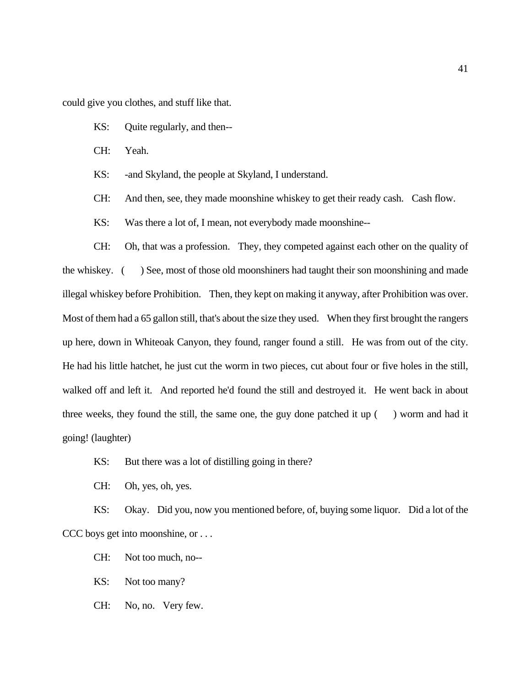could give you clothes, and stuff like that.

- KS: Quite regularly, and then--
- CH: Yeah.
- KS: -and Skyland, the people at Skyland, I understand.
- CH: And then, see, they made moonshine whiskey to get their ready cash. Cash flow.
- KS: Was there a lot of, I mean, not everybody made moonshine--

CH: Oh, that was a profession. They, they competed against each other on the quality of the whiskey. ( ) See, most of those old moonshiners had taught their son moonshining and made illegal whiskey before Prohibition. Then, they kept on making it anyway, after Prohibition was over. Most of them had a 65 gallon still, that's about the size they used. When they first brought the rangers up here, down in Whiteoak Canyon, they found, ranger found a still. He was from out of the city. He had his little hatchet, he just cut the worm in two pieces, cut about four or five holes in the still, walked off and left it. And reported he'd found the still and destroyed it. He went back in about three weeks, they found the still, the same one, the guy done patched it up  $($ ) worm and had it going! (laughter)

- KS: But there was a lot of distilling going in there?
- CH: Oh, yes, oh, yes.

KS: Okay. Did you, now you mentioned before, of, buying some liquor. Did a lot of the CCC boys get into moonshine, or . . .

- CH: Not too much, no--
- KS: Not too many?
- CH: No, no. Very few.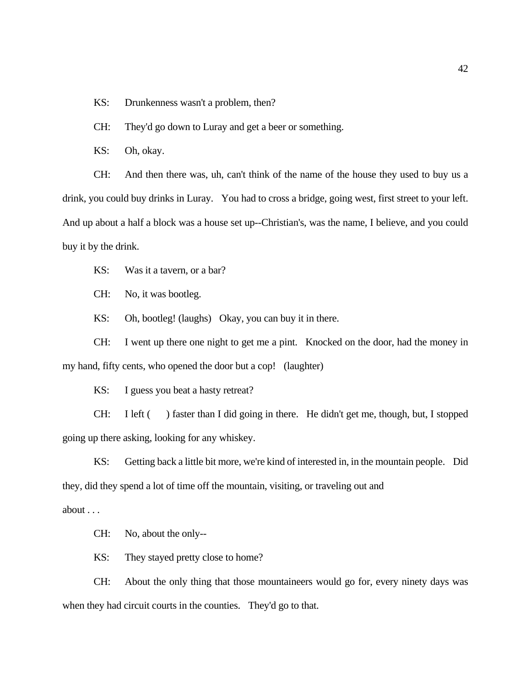KS: Drunkenness wasn't a problem, then?

CH: They'd go down to Luray and get a beer or something.

KS: Oh, okay.

CH: And then there was, uh, can't think of the name of the house they used to buy us a drink, you could buy drinks in Luray. You had to cross a bridge, going west, first street to your left. And up about a half a block was a house set up--Christian's, was the name, I believe, and you could buy it by the drink.

KS: Was it a tavern, or a bar?

CH: No, it was bootleg.

KS: Oh, bootleg! (laughs) Okay, you can buy it in there.

CH: I went up there one night to get me a pint. Knocked on the door, had the money in my hand, fifty cents, who opened the door but a cop! (laughter)

KS: I guess you beat a hasty retreat?

CH: I left ( ) faster than I did going in there. He didn't get me, though, but, I stopped going up there asking, looking for any whiskey.

KS: Getting back a little bit more, we're kind of interested in, in the mountain people. Did they, did they spend a lot of time off the mountain, visiting, or traveling out and about . . .

CH: No, about the only--

KS: They stayed pretty close to home?

CH: About the only thing that those mountaineers would go for, every ninety days was when they had circuit courts in the counties. They'd go to that.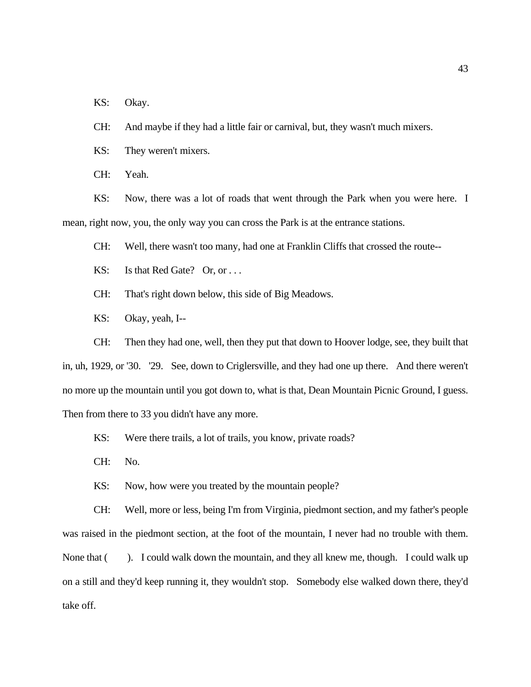KS: Okay.

CH: And maybe if they had a little fair or carnival, but, they wasn't much mixers.

KS: They weren't mixers.

CH: Yeah.

KS: Now, there was a lot of roads that went through the Park when you were here. I mean, right now, you, the only way you can cross the Park is at the entrance stations.

CH: Well, there wasn't too many, had one at Franklin Cliffs that crossed the route--

KS: Is that Red Gate? Or, or ...

CH: That's right down below, this side of Big Meadows.

KS: Okay, yeah, I--

CH: Then they had one, well, then they put that down to Hoover lodge, see, they built that in, uh, 1929, or '30. '29. See, down to Criglersville, and they had one up there. And there weren't no more up the mountain until you got down to, what is that, Dean Mountain Picnic Ground, I guess. Then from there to 33 you didn't have any more.

KS: Were there trails, a lot of trails, you know, private roads?

CH: No.

KS: Now, how were you treated by the mountain people?

CH: Well, more or less, being I'm from Virginia, piedmont section, and my father's people was raised in the piedmont section, at the foot of the mountain, I never had no trouble with them. None that (). I could walk down the mountain, and they all knew me, though. I could walk up on a still and they'd keep running it, they wouldn't stop. Somebody else walked down there, they'd take off.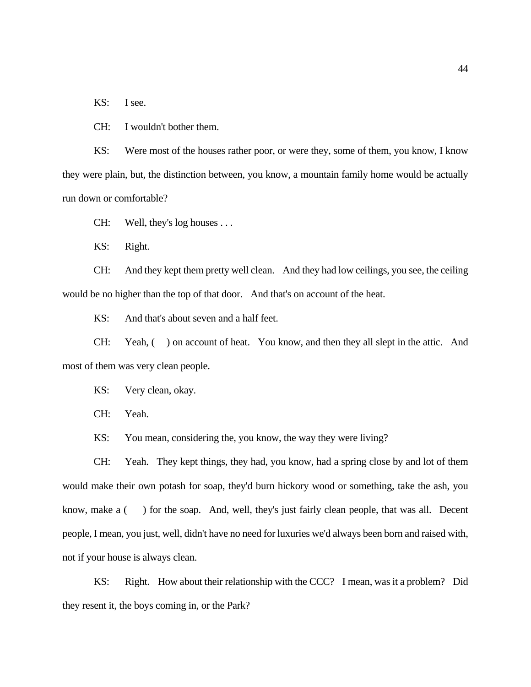KS: I see.

CH: I wouldn't bother them.

KS: Were most of the houses rather poor, or were they, some of them, you know, I know they were plain, but, the distinction between, you know, a mountain family home would be actually run down or comfortable?

CH: Well, they's log houses . . .

KS: Right.

CH: And they kept them pretty well clean. And they had low ceilings, you see, the ceiling would be no higher than the top of that door. And that's on account of the heat.

KS: And that's about seven and a half feet.

CH: Yeah, ( ) on account of heat. You know, and then they all slept in the attic. And most of them was very clean people.

KS: Very clean, okay.

CH: Yeah.

KS: You mean, considering the, you know, the way they were living?

CH: Yeah. They kept things, they had, you know, had a spring close by and lot of them would make their own potash for soap, they'd burn hickory wood or something, take the ash, you know, make a () for the soap. And, well, they's just fairly clean people, that was all. Decent people, I mean, you just, well, didn't have no need for luxuries we'd always been born and raised with, not if your house is always clean.

KS: Right. How about their relationship with the CCC? I mean, was it a problem? Did they resent it, the boys coming in, or the Park?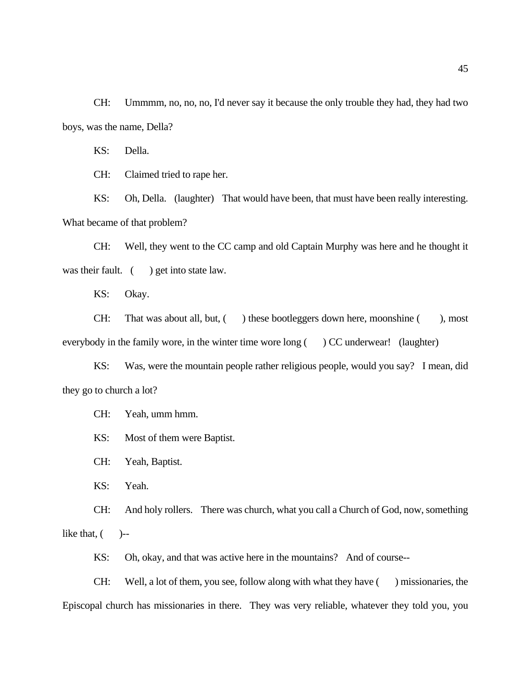CH: Ummmm, no, no, no, I'd never say it because the only trouble they had, they had two boys, was the name, Della?

KS: Della.

CH: Claimed tried to rape her.

KS: Oh, Della. (laughter) That would have been, that must have been really interesting. What became of that problem?

CH: Well, they went to the CC camp and old Captain Murphy was here and he thought it was their fault. ( ) get into state law.

KS: Okay.

CH: That was about all, but, () these bootleggers down here, moonshine (), most everybody in the family wore, in the winter time wore long () CC underwear! (laughter)

KS: Was, were the mountain people rather religious people, would you say? I mean, did they go to church a lot?

CH: Yeah, umm hmm.

KS: Most of them were Baptist.

CH: Yeah, Baptist.

KS: Yeah.

CH: And holy rollers. There was church, what you call a Church of God, now, something like that,  $($   $)$ --

KS: Oh, okay, and that was active here in the mountains? And of course--

CH: Well, a lot of them, you see, follow along with what they have ( ) missionaries, the Episcopal church has missionaries in there. They was very reliable, whatever they told you, you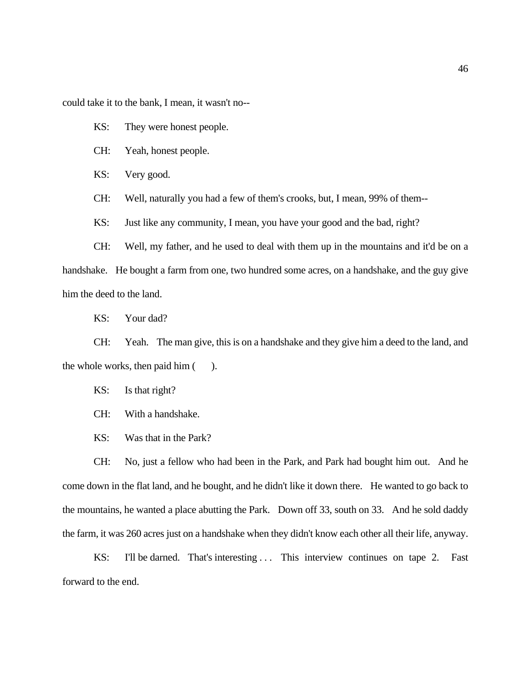could take it to the bank, I mean, it wasn't no--

KS: They were honest people.

CH: Yeah, honest people.

KS: Very good.

CH: Well, naturally you had a few of them's crooks, but, I mean, 99% of them--

KS: Just like any community, I mean, you have your good and the bad, right?

CH: Well, my father, and he used to deal with them up in the mountains and it'd be on a handshake. He bought a farm from one, two hundred some acres, on a handshake, and the guy give him the deed to the land.

KS: Your dad?

CH: Yeah. The man give, this is on a handshake and they give him a deed to the land, and the whole works, then paid him ().

KS: Is that right?

CH: With a handshake.

KS: Was that in the Park?

CH: No, just a fellow who had been in the Park, and Park had bought him out. And he come down in the flat land, and he bought, and he didn't like it down there. He wanted to go back to the mountains, he wanted a place abutting the Park. Down off 33, south on 33. And he sold daddy the farm, it was 260 acres just on a handshake when they didn't know each other all their life, anyway.

KS: I'll be darned. That's interesting ... This interview continues on tape 2. Fast forward to the end.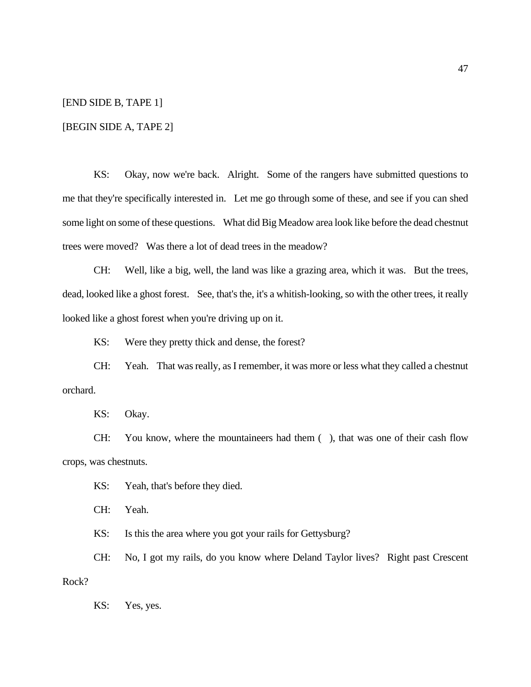# [END SIDE B, TAPE 1]

#### [BEGIN SIDE A, TAPE 2]

KS: Okay, now we're back. Alright. Some of the rangers have submitted questions to me that they're specifically interested in. Let me go through some of these, and see if you can shed some light on some of these questions. What did Big Meadow area look like before the dead chestnut trees were moved? Was there a lot of dead trees in the meadow?

CH: Well, like a big, well, the land was like a grazing area, which it was. But the trees, dead, looked like a ghost forest. See, that's the, it's a whitish-looking, so with the other trees, it really looked like a ghost forest when you're driving up on it.

KS: Were they pretty thick and dense, the forest?

CH: Yeah. That was really, as I remember, it was more or less what they called a chestnut orchard.

KS: Okay.

CH: You know, where the mountaineers had them ( ), that was one of their cash flow crops, was chestnuts.

KS: Yeah, that's before they died.

CH: Yeah.

KS: Is this the area where you got your rails for Gettysburg?

CH: No, I got my rails, do you know where Deland Taylor lives? Right past Crescent Rock?

KS: Yes, yes.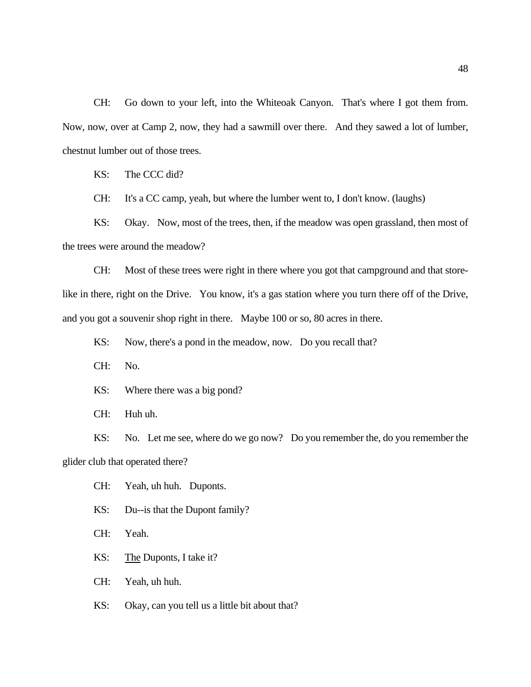CH: Go down to your left, into the Whiteoak Canyon. That's where I got them from. Now, now, over at Camp 2, now, they had a sawmill over there. And they sawed a lot of lumber, chestnut lumber out of those trees.

KS: The CCC did?

CH: It's a CC camp, yeah, but where the lumber went to, I don't know. (laughs)

KS: Okay. Now, most of the trees, then, if the meadow was open grassland, then most of the trees were around the meadow?

CH: Most of these trees were right in there where you got that campground and that storelike in there, right on the Drive. You know, it's a gas station where you turn there off of the Drive, and you got a souvenir shop right in there. Maybe 100 or so, 80 acres in there.

KS: Now, there's a pond in the meadow, now. Do you recall that?

CH: No.

KS: Where there was a big pond?

CH: Huh uh.

KS: No. Let me see, where do we go now? Do you remember the, do you remember the glider club that operated there?

CH: Yeah, uh huh. Duponts.

KS: Du--is that the Dupont family?

CH: Yeah.

KS: The Duponts, I take it?

CH: Yeah, uh huh.

KS: Okay, can you tell us a little bit about that?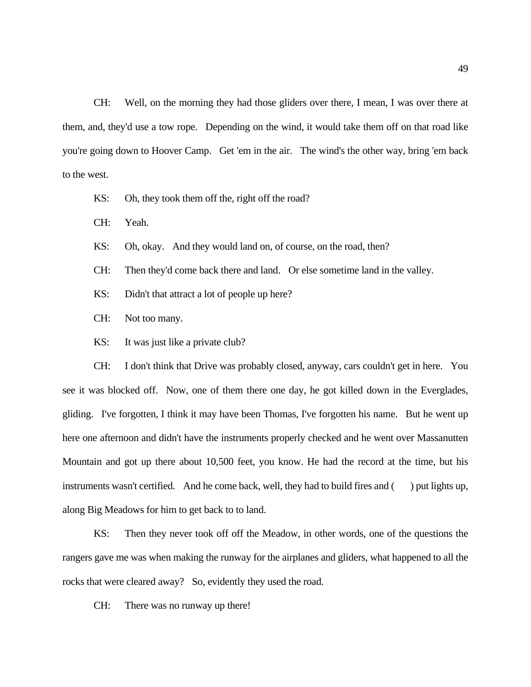CH: Well, on the morning they had those gliders over there, I mean, I was over there at them, and, they'd use a tow rope. Depending on the wind, it would take them off on that road like you're going down to Hoover Camp. Get 'em in the air. The wind's the other way, bring 'em back to the west.

KS: Oh, they took them off the, right off the road?

CH: Yeah.

- KS: Oh, okay. And they would land on, of course, on the road, then?
- CH: Then they'd come back there and land. Or else sometime land in the valley.
- KS: Didn't that attract a lot of people up here?
- CH: Not too many.
- KS: It was just like a private club?

CH: I don't think that Drive was probably closed, anyway, cars couldn't get in here. You see it was blocked off. Now, one of them there one day, he got killed down in the Everglades, gliding. I've forgotten, I think it may have been Thomas, I've forgotten his name. But he went up here one afternoon and didn't have the instruments properly checked and he went over Massanutten Mountain and got up there about 10,500 feet, you know. He had the record at the time, but his instruments wasn't certified. And he come back, well, they had to build fires and  $($ ) put lights up, along Big Meadows for him to get back to to land.

KS: Then they never took off off the Meadow, in other words, one of the questions the rangers gave me was when making the runway for the airplanes and gliders, what happened to all the rocks that were cleared away? So, evidently they used the road.

CH: There was no runway up there!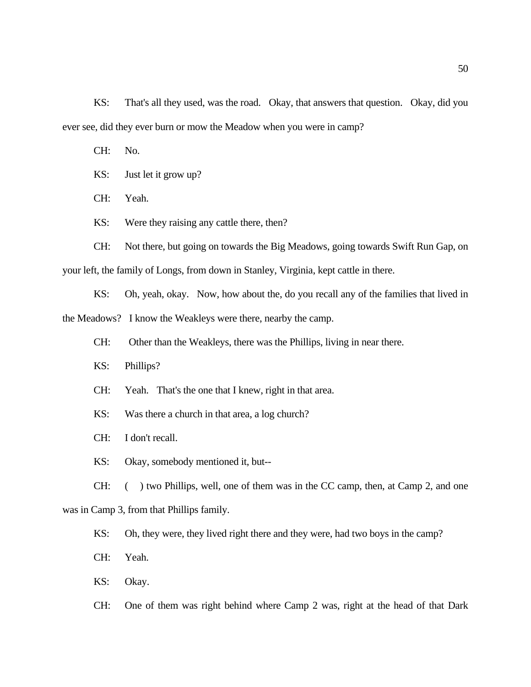KS: That's all they used, was the road. Okay, that answers that question. Okay, did you ever see, did they ever burn or mow the Meadow when you were in camp?

CH: No.

KS: Just let it grow up?

CH: Yeah.

KS: Were they raising any cattle there, then?

CH: Not there, but going on towards the Big Meadows, going towards Swift Run Gap, on your left, the family of Longs, from down in Stanley, Virginia, kept cattle in there.

KS: Oh, yeah, okay. Now, how about the, do you recall any of the families that lived in the Meadows? I know the Weakleys were there, nearby the camp.

CH: Other than the Weakleys, there was the Phillips, living in near there.

- KS: Phillips?
- CH: Yeah. That's the one that I knew, right in that area.
- KS: Was there a church in that area, a log church?
- CH: I don't recall.
- KS: Okay, somebody mentioned it, but--

CH: ( ) two Phillips, well, one of them was in the CC camp, then, at Camp 2, and one

was in Camp 3, from that Phillips family.

KS: Oh, they were, they lived right there and they were, had two boys in the camp?

CH: Yeah.

KS: Okay.

CH: One of them was right behind where Camp 2 was, right at the head of that Dark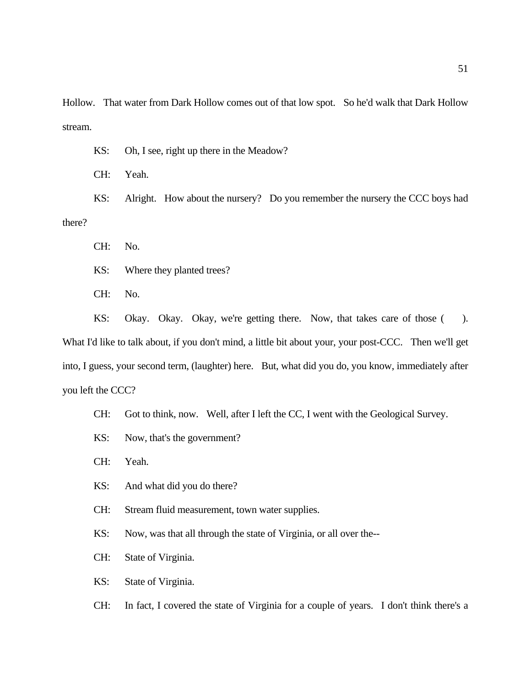Hollow. That water from Dark Hollow comes out of that low spot. So he'd walk that Dark Hollow stream.

KS: Oh, I see, right up there in the Meadow?

CH: Yeah.

KS: Alright. How about the nursery? Do you remember the nursery the CCC boys had there?

CH: No.

KS: Where they planted trees?

CH: No.

KS: Okay. Okay. Okay, we're getting there. Now, that takes care of those (). What I'd like to talk about, if you don't mind, a little bit about your, your post-CCC. Then we'll get into, I guess, your second term, (laughter) here. But, what did you do, you know, immediately after you left the CCC?

CH: Got to think, now. Well, after I left the CC, I went with the Geological Survey.

- KS: Now, that's the government?
- CH: Yeah.
- KS: And what did you do there?
- CH: Stream fluid measurement, town water supplies.

KS: Now, was that all through the state of Virginia, or all over the--

- CH: State of Virginia.
- KS: State of Virginia.

CH: In fact, I covered the state of Virginia for a couple of years. I don't think there's a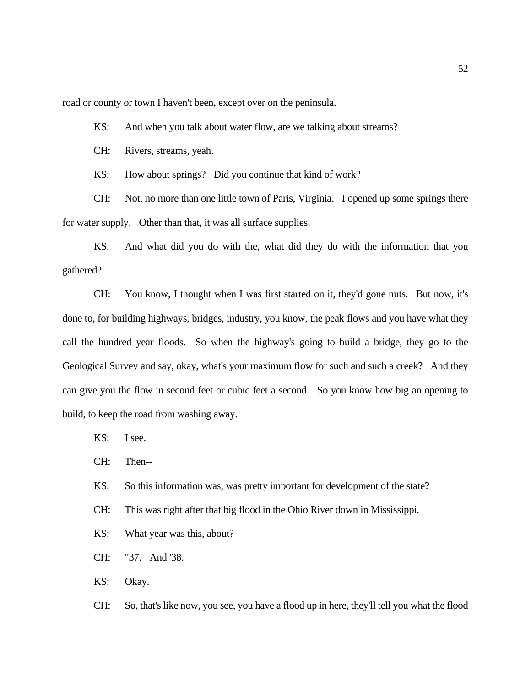road or county or town I haven't been, except over on the peninsula.

KS: And when you talk about water flow, are we talking about streams?

CH: Rivers, streams, yeah.

KS: How about springs? Did you continue that kind of work?

CH: Not, no more than one little town of Paris, Virginia. I opened up some springs there for water supply. Other than that, it was all surface supplies.

KS: And what did you do with the, what did they do with the information that you gathered?

CH: You know, I thought when I was first started on it, they'd gone nuts. But now, it's done to, for building highways, bridges, industry, you know, the peak flows and you have what they call the hundred year floods. So when the highway's going to build a bridge, they go to the Geological Survey and say, okay, what's your maximum flow for such and such a creek? And they can give you the flow in second feet or cubic feet a second. So you know how big an opening to build, to keep the road from washing away.

KS: I see.

CH: Then--

KS: So this information was, was pretty important for development of the state?

CH: This was right after that big flood in the Ohio River down in Mississippi.

KS: What year was this, about?

CH: "37. And '38.

KS: Okay.

CH: So, that's like now, you see, you have a flood up in here, they'll tell you what the flood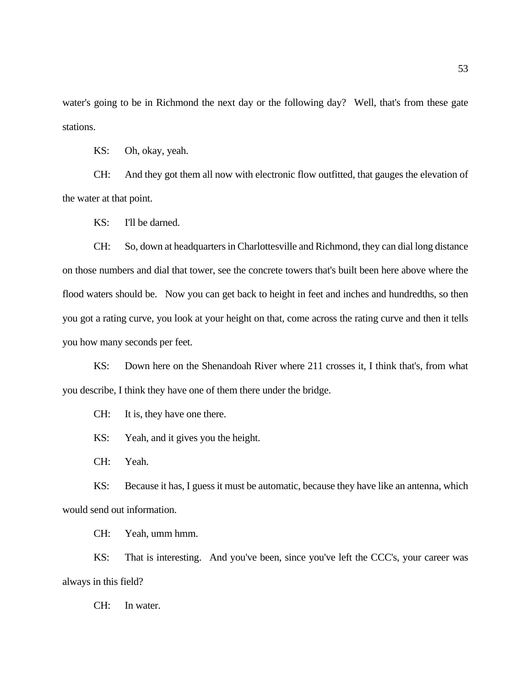water's going to be in Richmond the next day or the following day? Well, that's from these gate stations.

KS: Oh, okay, yeah.

CH: And they got them all now with electronic flow outfitted, that gauges the elevation of the water at that point.

KS: I'll be darned.

CH: So, down at headquarters in Charlottesville and Richmond, they can dial long distance on those numbers and dial that tower, see the concrete towers that's built been here above where the flood waters should be. Now you can get back to height in feet and inches and hundredths, so then you got a rating curve, you look at your height on that, come across the rating curve and then it tells you how many seconds per feet.

KS: Down here on the Shenandoah River where 211 crosses it, I think that's, from what you describe, I think they have one of them there under the bridge.

CH: It is, they have one there.

KS: Yeah, and it gives you the height.

CH: Yeah.

KS: Because it has, I guess it must be automatic, because they have like an antenna, which would send out information.

CH: Yeah, umm hmm.

KS: That is interesting. And you've been, since you've left the CCC's, your career was always in this field?

CH: In water.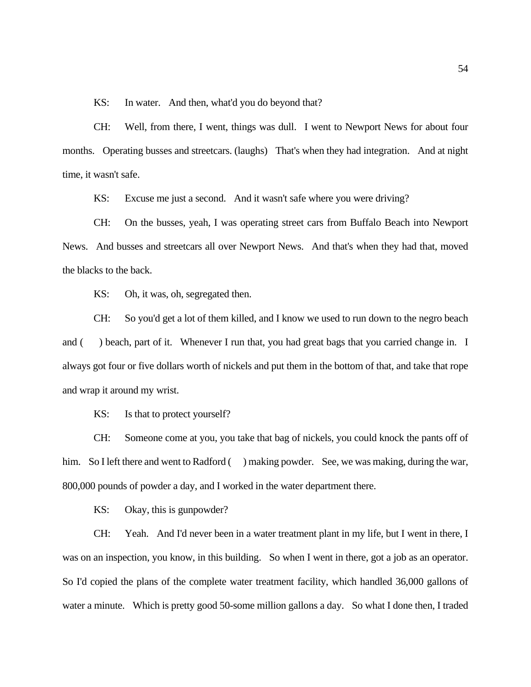KS: In water. And then, what'd you do beyond that?

CH: Well, from there, I went, things was dull. I went to Newport News for about four months. Operating busses and streetcars. (laughs) That's when they had integration. And at night time, it wasn't safe.

KS: Excuse me just a second. And it wasn't safe where you were driving?

CH: On the busses, yeah, I was operating street cars from Buffalo Beach into Newport News. And busses and streetcars all over Newport News. And that's when they had that, moved the blacks to the back.

KS: Oh, it was, oh, segregated then.

CH: So you'd get a lot of them killed, and I know we used to run down to the negro beach and () beach, part of it. Whenever I run that, you had great bags that you carried change in. I always got four or five dollars worth of nickels and put them in the bottom of that, and take that rope and wrap it around my wrist.

KS: Is that to protect yourself?

CH: Someone come at you, you take that bag of nickels, you could knock the pants off of him. So I left there and went to Radford () making powder. See, we was making, during the war, 800,000 pounds of powder a day, and I worked in the water department there.

KS: Okay, this is gunpowder?

CH: Yeah. And I'd never been in a water treatment plant in my life, but I went in there, I was on an inspection, you know, in this building. So when I went in there, got a job as an operator. So I'd copied the plans of the complete water treatment facility, which handled 36,000 gallons of water a minute. Which is pretty good 50-some million gallons a day. So what I done then, I traded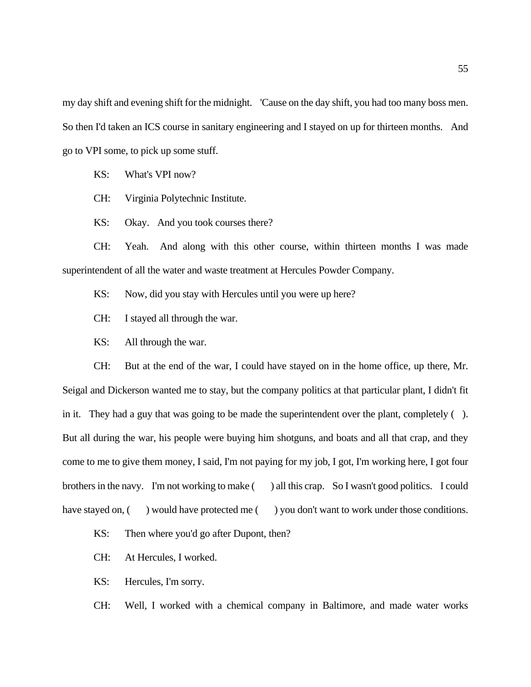my day shift and evening shift for the midnight. 'Cause on the day shift, you had too many boss men. So then I'd taken an ICS course in sanitary engineering and I stayed on up for thirteen months. And go to VPI some, to pick up some stuff.

KS: What's VPI now?

CH: Virginia Polytechnic Institute.

KS: Okay. And you took courses there?

CH: Yeah. And along with this other course, within thirteen months I was made superintendent of all the water and waste treatment at Hercules Powder Company.

KS: Now, did you stay with Hercules until you were up here?

CH: I stayed all through the war.

KS: All through the war.

CH: But at the end of the war, I could have stayed on in the home office, up there, Mr. Seigal and Dickerson wanted me to stay, but the company politics at that particular plant, I didn't fit in it. They had a guy that was going to be made the superintendent over the plant, completely ( ). But all during the war, his people were buying him shotguns, and boats and all that crap, and they come to me to give them money, I said, I'm not paying for my job, I got, I'm working here, I got four brothers in the navy. I'm not working to make () all this crap. So I wasn't good politics. I could have stayed on, () would have protected me () you don't want to work under those conditions.

KS: Then where you'd go after Dupont, then?

CH: At Hercules, I worked.

KS: Hercules, I'm sorry.

CH: Well, I worked with a chemical company in Baltimore, and made water works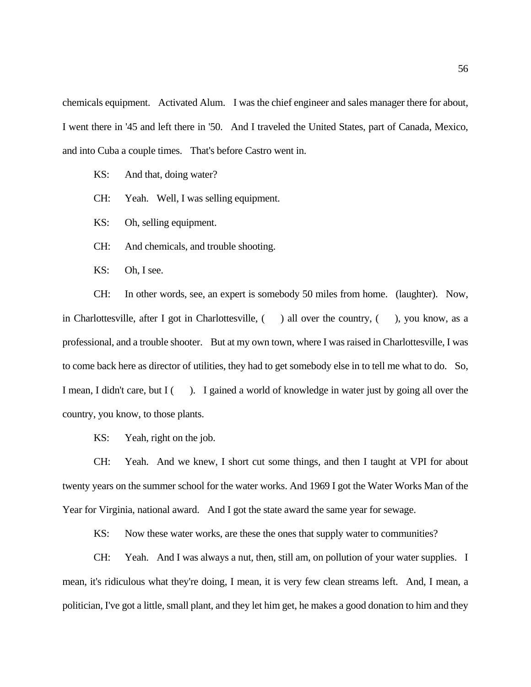chemicals equipment. Activated Alum. I was the chief engineer and sales manager there for about, I went there in '45 and left there in '50. And I traveled the United States, part of Canada, Mexico, and into Cuba a couple times. That's before Castro went in.

- KS: And that, doing water?
- CH: Yeah. Well, I was selling equipment.

KS: Oh, selling equipment.

CH: And chemicals, and trouble shooting.

KS: Oh, I see.

CH: In other words, see, an expert is somebody 50 miles from home. (laughter). Now, in Charlottesville, after I got in Charlottesville,  $($  ) all over the country,  $($ ), you know, as a professional, and a trouble shooter. But at my own town, where I was raised in Charlottesville, I was to come back here as director of utilities, they had to get somebody else in to tell me what to do. So, I mean, I didn't care, but I (). I gained a world of knowledge in water just by going all over the country, you know, to those plants.

KS: Yeah, right on the job.

CH: Yeah. And we knew, I short cut some things, and then I taught at VPI for about twenty years on the summer school for the water works. And 1969 I got the Water Works Man of the Year for Virginia, national award. And I got the state award the same year for sewage.

KS: Now these water works, are these the ones that supply water to communities?

CH: Yeah. And I was always a nut, then, still am, on pollution of your water supplies. I mean, it's ridiculous what they're doing, I mean, it is very few clean streams left. And, I mean, a politician, I've got a little, small plant, and they let him get, he makes a good donation to him and they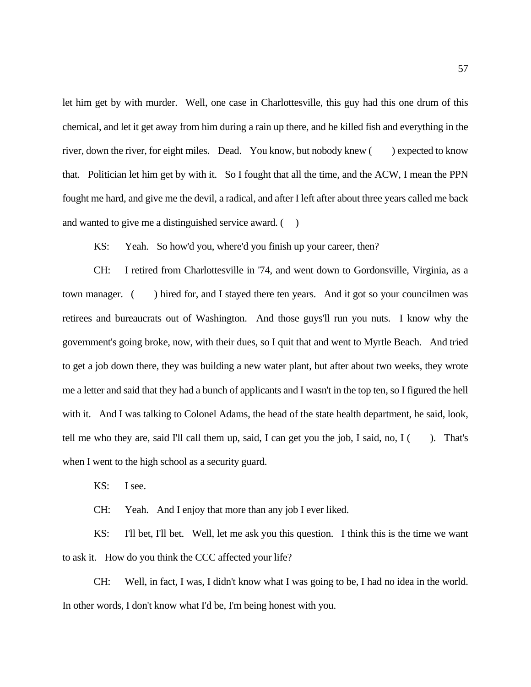let him get by with murder. Well, one case in Charlottesville, this guy had this one drum of this chemical, and let it get away from him during a rain up there, and he killed fish and everything in the river, down the river, for eight miles. Dead. You know, but nobody knew () expected to know that. Politician let him get by with it. So I fought that all the time, and the ACW, I mean the PPN fought me hard, and give me the devil, a radical, and after I left after about three years called me back and wanted to give me a distinguished service award.  $($ )

KS: Yeah. So how'd you, where'd you finish up your career, then?

CH: I retired from Charlottesville in '74, and went down to Gordonsville, Virginia, as a town manager. ( ) hired for, and I stayed there ten years. And it got so your councilmen was retirees and bureaucrats out of Washington. And those guys'll run you nuts. I know why the government's going broke, now, with their dues, so I quit that and went to Myrtle Beach. And tried to get a job down there, they was building a new water plant, but after about two weeks, they wrote me a letter and said that they had a bunch of applicants and I wasn't in the top ten, so I figured the hell with it. And I was talking to Colonel Adams, the head of the state health department, he said, look, tell me who they are, said I'll call them up, said, I can get you the job, I said, no, I ( ). That's when I went to the high school as a security guard.

KS: I see.

CH: Yeah. And I enjoy that more than any job I ever liked.

KS: I'll bet, I'll bet. Well, let me ask you this question. I think this is the time we want to ask it. How do you think the CCC affected your life?

CH: Well, in fact, I was, I didn't know what I was going to be, I had no idea in the world. In other words, I don't know what I'd be, I'm being honest with you.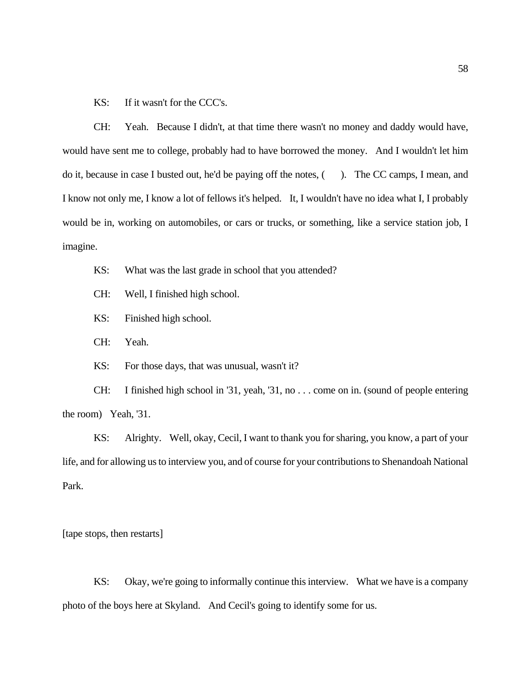KS: If it wasn't for the CCC's.

CH: Yeah. Because I didn't, at that time there wasn't no money and daddy would have, would have sent me to college, probably had to have borrowed the money. And I wouldn't let him do it, because in case I busted out, he'd be paying off the notes, (). The CC camps, I mean, and I know not only me, I know a lot of fellows it's helped. It, I wouldn't have no idea what I, I probably would be in, working on automobiles, or cars or trucks, or something, like a service station job, I imagine.

- KS: What was the last grade in school that you attended?
- CH: Well, I finished high school.
- KS: Finished high school.
- CH: Yeah.

KS: For those days, that was unusual, wasn't it?

CH: I finished high school in '31, yeah, '31, no . . . come on in. (sound of people entering the room) Yeah, '31.

KS: Alrighty. Well, okay, Cecil, I want to thank you for sharing, you know, a part of your life, and for allowing us to interview you, and of course for your contributions to Shenandoah National Park.

[tape stops, then restarts]

KS: Okay, we're going to informally continue this interview. What we have is a company photo of the boys here at Skyland. And Cecil's going to identify some for us.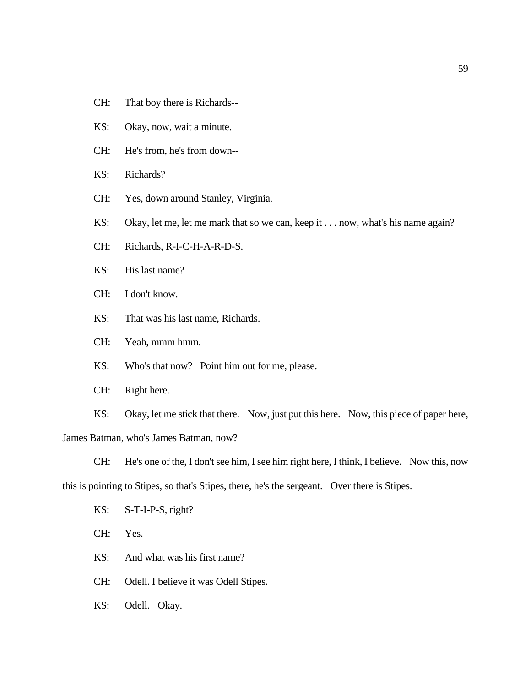- CH: That boy there is Richards--
- KS: Okay, now, wait a minute.
- CH: He's from, he's from down--
- KS: Richards?
- CH: Yes, down around Stanley, Virginia.
- KS: Okay, let me, let me mark that so we can, keep it . . . now, what's his name again?
- CH: Richards, R-I-C-H-A-R-D-S.
- KS: His last name?
- CH: I don't know.
- KS: That was his last name, Richards.
- CH: Yeah, mmm hmm.
- KS: Who's that now? Point him out for me, please.
- CH: Right here.

KS: Okay, let me stick that there. Now, just put this here. Now, this piece of paper here, James Batman, who's James Batman, now?

CH: He's one of the, I don't see him, I see him right here, I think, I believe. Now this, now this is pointing to Stipes, so that's Stipes, there, he's the sergeant. Over there is Stipes.

KS: S-T-I-P-S, right?

CH: Yes.

KS: And what was his first name?

- CH: Odell. I believe it was Odell Stipes.
- KS: Odell. Okay.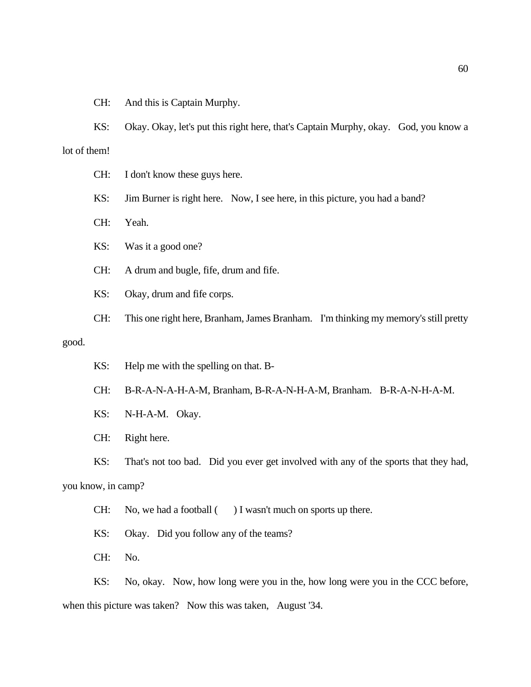CH: And this is Captain Murphy.

KS: Okay. Okay, let's put this right here, that's Captain Murphy, okay. God, you know a lot of them!

CH: I don't know these guys here.

KS: Jim Burner is right here. Now, I see here, in this picture, you had a band?

CH: Yeah.

KS: Was it a good one?

CH: A drum and bugle, fife, drum and fife.

KS: Okay, drum and fife corps.

CH: This one right here, Branham, James Branham. I'm thinking my memory's still pretty good.

KS: Help me with the spelling on that. B-

CH: B-R-A-N-A-H-A-M, Branham, B-R-A-N-H-A-M, Branham. B-R-A-N-H-A-M.

KS: N-H-A-M. Okay.

CH: Right here.

KS: That's not too bad. Did you ever get involved with any of the sports that they had,

you know, in camp?

CH: No, we had a football () I wasn't much on sports up there.

KS: Okay. Did you follow any of the teams?

CH: No.

KS: No, okay. Now, how long were you in the, how long were you in the CCC before, when this picture was taken? Now this was taken, August '34.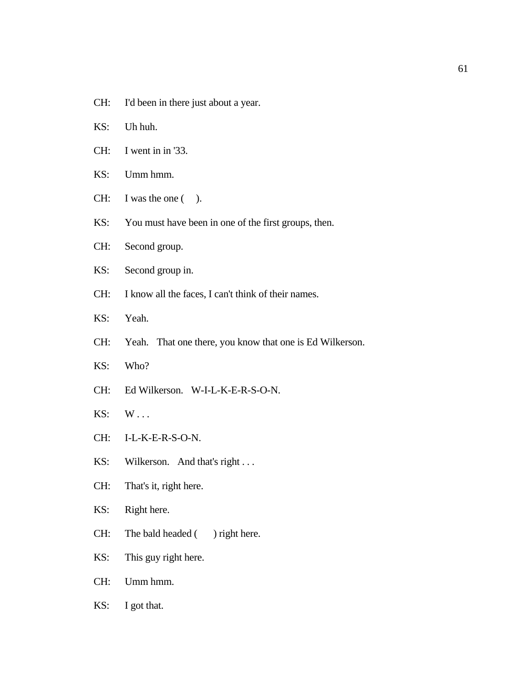- CH: I'd been in there just about a year.
- KS: Uh huh.
- CH: I went in in '33.
- KS: Umm hmm.
- CH: I was the one ( ).
- KS: You must have been in one of the first groups, then.
- CH: Second group.
- KS: Second group in.
- CH: I know all the faces, I can't think of their names.
- KS: Yeah.
- CH: Yeah. That one there, you know that one is Ed Wilkerson.
- KS: Who?
- CH: Ed Wilkerson. W-I-L-K-E-R-S-O-N.
- KS: W . . .
- CH: I-L-K-E-R-S-O-N.
- KS: Wilkerson. And that's right . . .
- CH: That's it, right here.
- KS: Right here.
- CH: The bald headed () right here.
- KS: This guy right here.
- CH: Umm hmm.
- KS: I got that.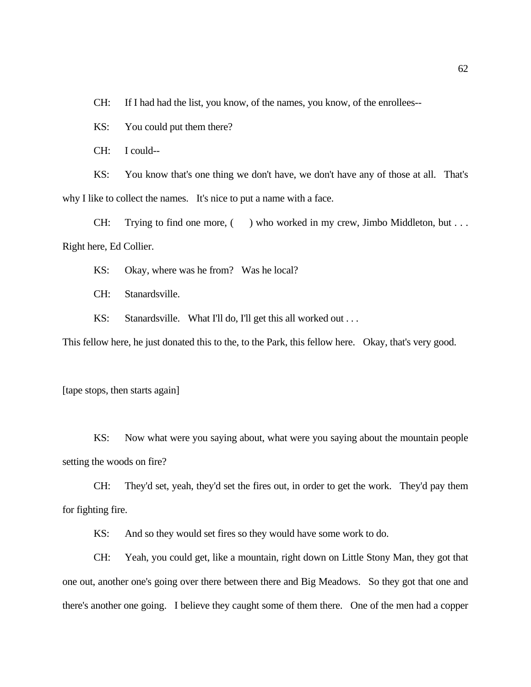CH: If I had had the list, you know, of the names, you know, of the enrollees--

KS: You could put them there?

CH: I could--

KS: You know that's one thing we don't have, we don't have any of those at all. That's why I like to collect the names. It's nice to put a name with a face.

CH: Trying to find one more, () who worked in my crew, Jimbo Middleton, but . . . Right here, Ed Collier.

KS: Okay, where was he from? Was he local?

CH: Stanardsville.

KS: Stanardsville. What I'll do, I'll get this all worked out . . .

This fellow here, he just donated this to the, to the Park, this fellow here. Okay, that's very good.

[tape stops, then starts again]

KS: Now what were you saying about, what were you saying about the mountain people setting the woods on fire?

CH: They'd set, yeah, they'd set the fires out, in order to get the work. They'd pay them for fighting fire.

KS: And so they would set fires so they would have some work to do.

CH: Yeah, you could get, like a mountain, right down on Little Stony Man, they got that one out, another one's going over there between there and Big Meadows. So they got that one and there's another one going. I believe they caught some of them there. One of the men had a copper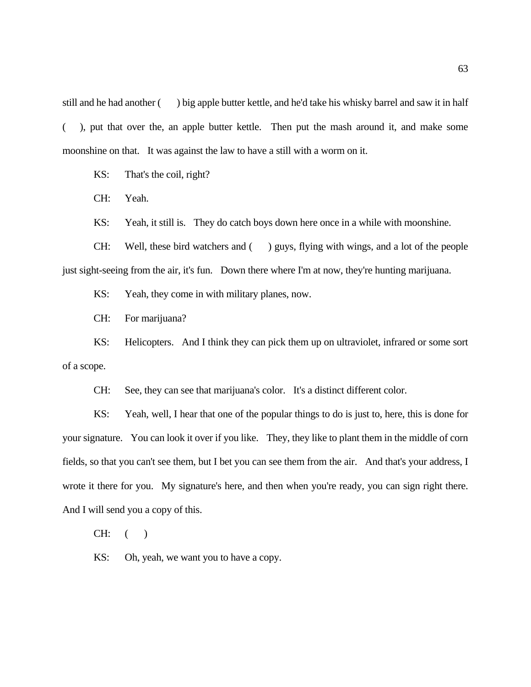still and he had another ( ) big apple butter kettle, and he'd take his whisky barrel and saw it in half ( ), put that over the, an apple butter kettle. Then put the mash around it, and make some moonshine on that. It was against the law to have a still with a worm on it.

KS: That's the coil, right?

CH: Yeah.

KS: Yeah, it still is. They do catch boys down here once in a while with moonshine.

CH: Well, these bird watchers and () guys, flying with wings, and a lot of the people just sight-seeing from the air, it's fun. Down there where I'm at now, they're hunting marijuana.

KS: Yeah, they come in with military planes, now.

CH: For marijuana?

KS: Helicopters. And I think they can pick them up on ultraviolet, infrared or some sort of a scope.

CH: See, they can see that marijuana's color. It's a distinct different color.

KS: Yeah, well, I hear that one of the popular things to do is just to, here, this is done for your signature. You can look it over if you like. They, they like to plant them in the middle of corn fields, so that you can't see them, but I bet you can see them from the air. And that's your address, I wrote it there for you. My signature's here, and then when you're ready, you can sign right there. And I will send you a copy of this.

 $CH:$  ( )

KS: Oh, yeah, we want you to have a copy.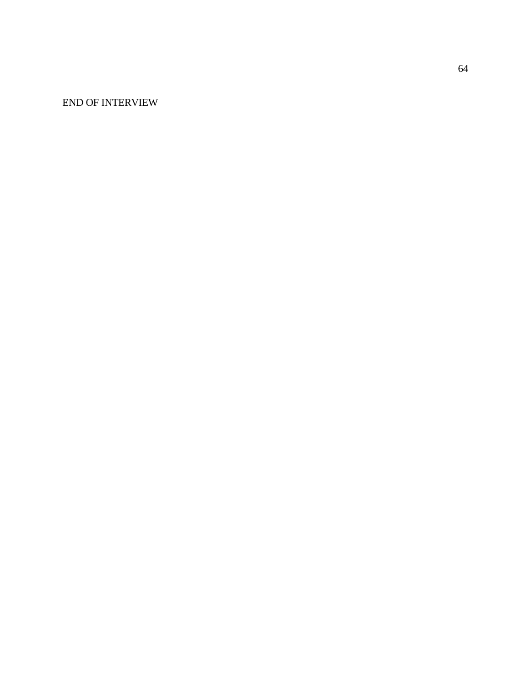END OF INTERVIEW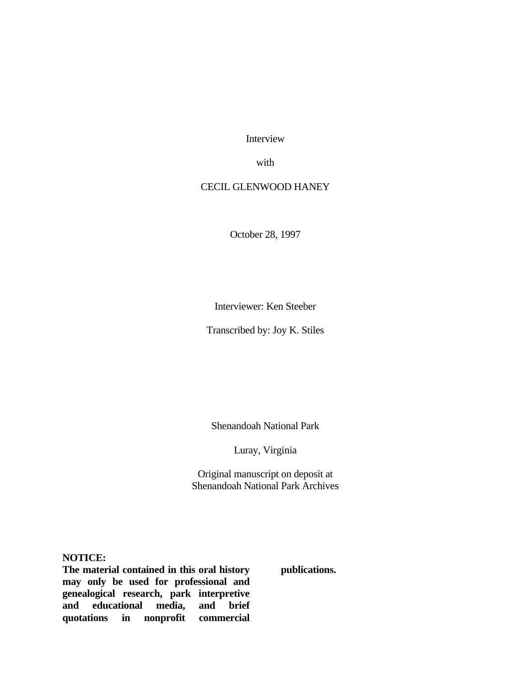Interview

with

# CECIL GLENWOOD HANEY

October 28, 1997

Interviewer: Ken Steeber

Transcribed by: Joy K. Stiles

Shenandoah National Park

Luray, Virginia

Original manuscript on deposit at Shenandoah National Park Archives

**NOTICE:**

**The material contained in this oral history may only be used for professional and genealogical research, park interpretive and educational media, and brief quotations in nonprofit commercial**  **publications.**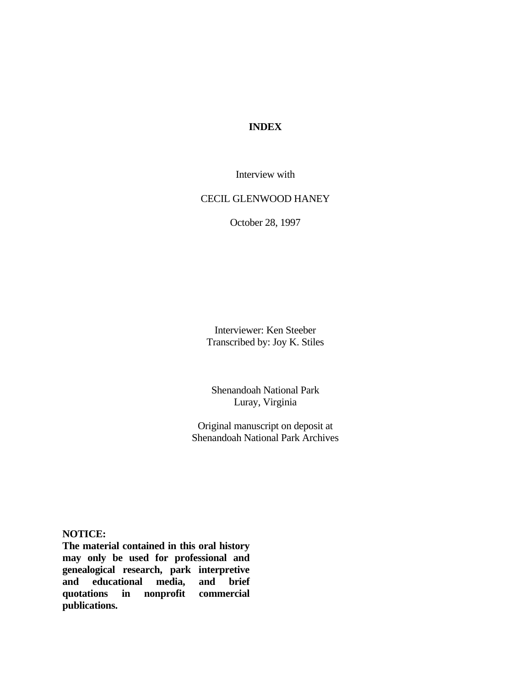# **INDEX**

Interview with

# CECIL GLENWOOD HANEY

October 28, 1997

Interviewer: Ken Steeber Transcribed by: Joy K. Stiles

Shenandoah National Park Luray, Virginia

Original manuscript on deposit at Shenandoah National Park Archives

**NOTICE:**

**The material contained in this oral history may only be used for professional and genealogical research, park interpretive and educational media, and brief quotations in nonprofit commercial publications.**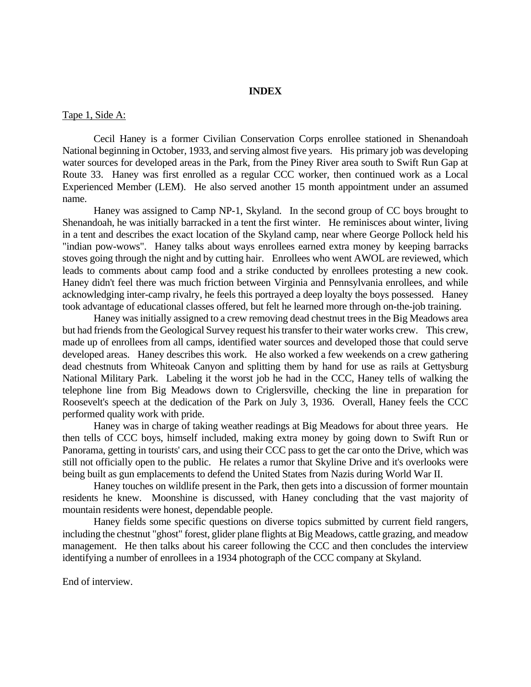# **INDEX**

#### Tape 1, Side A:

Cecil Haney is a former Civilian Conservation Corps enrollee stationed in Shenandoah National beginning in October, 1933, and serving almost five years. His primary job was developing water sources for developed areas in the Park, from the Piney River area south to Swift Run Gap at Route 33. Haney was first enrolled as a regular CCC worker, then continued work as a Local Experienced Member (LEM). He also served another 15 month appointment under an assumed name.

Haney was assigned to Camp NP-1, Skyland. In the second group of CC boys brought to Shenandoah, he was initially barracked in a tent the first winter. He reminisces about winter, living in a tent and describes the exact location of the Skyland camp, near where George Pollock held his "indian pow-wows". Haney talks about ways enrollees earned extra money by keeping barracks stoves going through the night and by cutting hair. Enrollees who went AWOL are reviewed, which leads to comments about camp food and a strike conducted by enrollees protesting a new cook. Haney didn't feel there was much friction between Virginia and Pennsylvania enrollees, and while acknowledging inter-camp rivalry, he feels this portrayed a deep loyalty the boys possessed. Haney took advantage of educational classes offered, but felt he learned more through on-the-job training.

Haney was initially assigned to a crew removing dead chestnut trees in the Big Meadows area but had friends from the Geological Survey request his transfer to their water works crew. This crew, made up of enrollees from all camps, identified water sources and developed those that could serve developed areas. Haney describes this work. He also worked a few weekends on a crew gathering dead chestnuts from Whiteoak Canyon and splitting them by hand for use as rails at Gettysburg National Military Park. Labeling it the worst job he had in the CCC, Haney tells of walking the telephone line from Big Meadows down to Criglersville, checking the line in preparation for Roosevelt's speech at the dedication of the Park on July 3, 1936. Overall, Haney feels the CCC performed quality work with pride.

Haney was in charge of taking weather readings at Big Meadows for about three years. He then tells of CCC boys, himself included, making extra money by going down to Swift Run or Panorama, getting in tourists' cars, and using their CCC pass to get the car onto the Drive, which was still not officially open to the public. He relates a rumor that Skyline Drive and it's overlooks were being built as gun emplacements to defend the United States from Nazis during World War II.

Haney touches on wildlife present in the Park, then gets into a discussion of former mountain residents he knew. Moonshine is discussed, with Haney concluding that the vast majority of mountain residents were honest, dependable people.

Haney fields some specific questions on diverse topics submitted by current field rangers, including the chestnut "ghost" forest, glider plane flights at Big Meadows, cattle grazing, and meadow management. He then talks about his career following the CCC and then concludes the interview identifying a number of enrollees in a 1934 photograph of the CCC company at Skyland.

End of interview.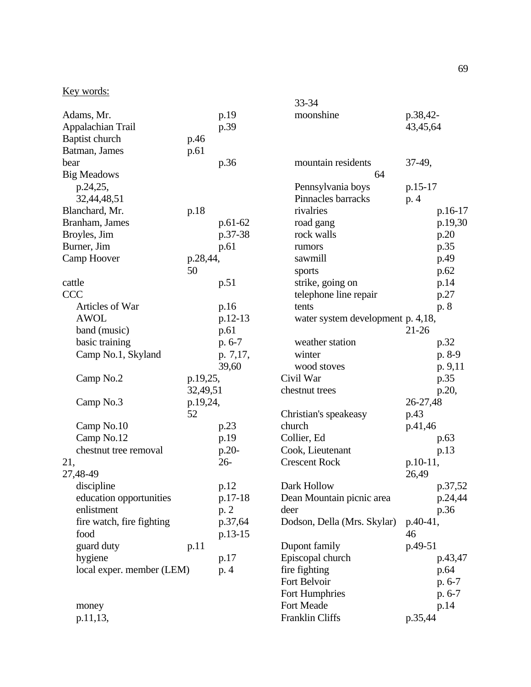# Key words:

|                           |          |           | 33-34                             |           |         |
|---------------------------|----------|-----------|-----------------------------------|-----------|---------|
| Adams, Mr.                |          | p.19      | moonshine                         | p.38,42-  |         |
| Appalachian Trail         |          | p.39      |                                   | 43,45,64  |         |
| Baptist church            | p.46     |           |                                   |           |         |
| Batman, James             | p.61     |           |                                   |           |         |
| bear                      |          | p.36      | mountain residents                | $37-49,$  |         |
| <b>Big Meadows</b>        |          |           | 64                                |           |         |
| p.24,25,                  |          |           | Pennsylvania boys                 | $p.15-17$ |         |
| 32,44,48,51               |          |           | Pinnacles barracks                | p. 4      |         |
| Blanchard, Mr.            | p.18     |           | rivalries                         |           | p.16-17 |
| Branham, James            |          | $p.61-62$ | road gang                         |           | p.19,30 |
| Broyles, Jim              |          | p.37-38   | rock walls                        |           | p.20    |
| Burner, Jim               |          | p.61      | rumors                            |           | p.35    |
| Camp Hoover               | p.28,44, |           | sawmill                           |           | p.49    |
|                           | 50       |           | sports                            |           | p.62    |
| cattle                    |          | p.51      | strike, going on                  |           | p.14    |
| <b>CCC</b>                |          |           | telephone line repair             |           | p.27    |
| Articles of War           |          | p.16      | tents                             |           | p. 8    |
| <b>AWOL</b>               |          | p.12-13   | water system development p. 4,18, |           |         |
| band (music)              |          | p.61      |                                   | $21 - 26$ |         |
| basic training            |          | $p. 6-7$  | weather station                   |           | p.32    |
| Camp No.1, Skyland        |          | p. 7,17,  | winter                            |           | p. 8-9  |
|                           |          | 39,60     | wood stoves                       |           | p. 9,11 |
| Camp No.2                 | p.19,25, |           | Civil War                         |           | p.35    |
|                           | 32,49,51 |           | chestnut trees                    |           | p.20,   |
| Camp No.3                 | p.19,24, |           |                                   | 26-27,48  |         |
|                           | 52       |           | Christian's speakeasy             | p.43      |         |
| Camp No.10                |          | p.23      | church                            | p.41,46   |         |
| Camp No.12                |          | p.19      | Collier, Ed                       |           | p.63    |
| chestnut tree removal     |          | p.20-     | Cook, Lieutenant                  |           | p.13    |
| 21,                       |          | $26 -$    | <b>Crescent Rock</b>              | p.10-11,  |         |
| 27,48-49                  |          |           |                                   | 26,49     |         |
| discipline                |          | p.12      | Dark Hollow                       |           | p.37,52 |
| education opportunities   |          | p.17-18   | Dean Mountain picnic area         |           | p.24,44 |
| enlistment                |          | p. 2      | deer                              |           | p.36    |
| fire watch, fire fighting |          | p.37,64   | Dodson, Della (Mrs. Skylar)       | p.40-41,  |         |
| food                      |          | p.13-15   |                                   | 46        |         |
| guard duty                | p.11     |           | Dupont family                     | p.49-51   |         |
| hygiene                   |          | p.17      | Episcopal church                  |           | p.43,47 |
| local exper. member (LEM) |          | p. 4      | fire fighting                     | p.64      |         |
|                           |          |           | Fort Belvoir                      |           | p. 6-7  |
|                           |          |           | Fort Humphries                    |           | p. 6-7  |
| money                     |          |           | Fort Meade                        |           | p.14    |
| p.11,13,                  |          |           | Franklin Cliffs                   | p.35,44   |         |